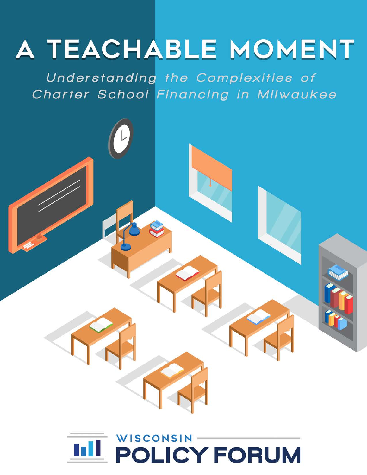# A TEACHABLE MOMENT

Understanding the Complexities of Charter School Financing in Milwaukee

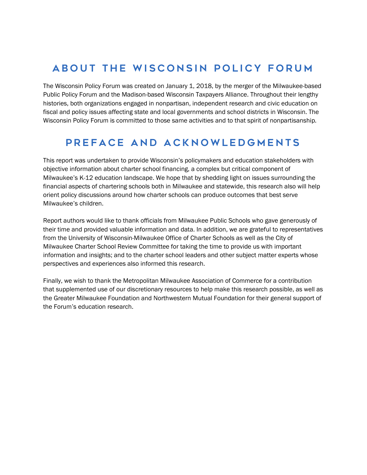# About the Wisconsin Policy Forum

The Wisconsin Policy Forum was created on January 1, 2018, by the merger of the Milwaukee-based Public Policy Forum and the Madison-based Wisconsin Taxpayers Alliance. Throughout their lengthy histories, both organizations engaged in nonpartisan, independent research and civic education on fiscal and policy issues affecting state and local governments and school districts in Wisconsin. The Wisconsin Policy Forum is committed to those same activities and to that spirit of nonpartisanship.

# Preface and Acknowledgments

This report was undertaken to provide Wisconsin's policymakers and education stakeholders with objective information about charter school financing, a complex but critical component of Milwaukee's K-12 education landscape. We hope that by shedding light on issues surrounding the financial aspects of chartering schools both in Milwaukee and statewide, this research also will help orient policy discussions around how charter schools can produce outcomes that best serve Milwaukee's children.

Report authors would like to thank officials from Milwaukee Public Schools who gave generously of their time and provided valuable information and data. In addition, we are grateful to representatives from the University of Wisconsin-Milwaukee Office of Charter Schools as well as the City of Milwaukee Charter School Review Committee for taking the time to provide us with important information and insights; and to the charter school leaders and other subject matter experts whose perspectives and experiences also informed this research.

Finally, we wish to thank the Metropolitan Milwaukee Association of Commerce for a contribution that supplemented use of our discretionary resources to help make this research possible, as well as the Greater Milwaukee Foundation and Northwestern Mutual Foundation for their general support of the Forum's education research.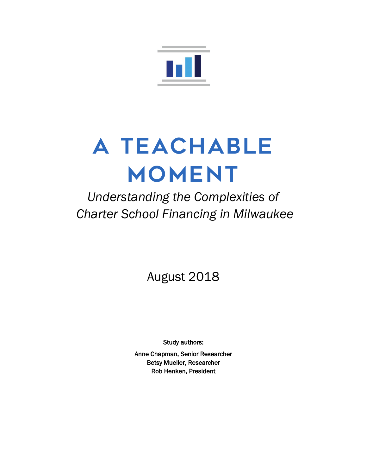

# A TEACHABLE MOMENT

*Understanding the Complexities of Charter School Financing in Milwaukee*

August 2018

Study authors:

Anne Chapman, Senior Researcher Betsy Mueller, Researcher Rob Henken, President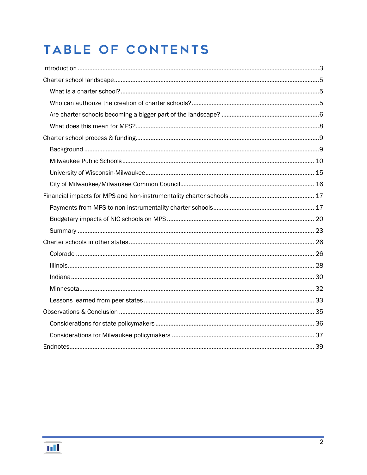# TABLE OF CONTENTS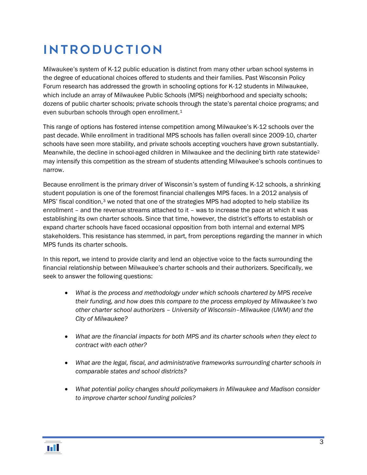# <span id="page-4-0"></span>Introduction

Milwaukee's system of K-12 public education is distinct from many other urban school systems in the degree of educational choices offered to students and their families. Past Wisconsin Policy Forum research has addressed the growth in schooling options for K-12 students in Milwaukee, which include an array of Milwaukee Public Schools (MPS) neighborhood and specialty schools; dozens of public charter schools; private schools through the state's parental choice programs; and even suburban schools through open enrollment.[1](#page-41-0)

This range of options has fostered intense competition among Milwaukee's K-12 schools over the past decade. While enrollment in traditional MPS schools has fallen overall since 2009-10, charter schools have seen more stability, and private schools accepting vouchers have grown substantially. Meanwhile, the decline in school-aged children in Milwaukee and the declining birth rate statewid[e2](#page-41-1) may intensify this competition as the stream of students attending Milwaukee's schools continues to narrow.

Because enrollment is the primary driver of Wisconsin's system of funding K-12 schools, a shrinking student population is one of the foremost financial challenges MPS faces. In a 2012 analysis of MPS' fiscal condition,[3](#page-41-2) we noted that one of the strategies MPS had adopted to help stabilize its enrollment – and the revenue streams attached to it – was to increase the pace at which it was establishing its own charter schools. Since that time, however, the district's efforts to establish or expand charter schools have faced occasional opposition from both internal and external MPS stakeholders. This resistance has stemmed, in part, from perceptions regarding the manner in which MPS funds its charter schools.

In this report, we intend to provide clarity and lend an objective voice to the facts surrounding the financial relationship between Milwaukee's charter schools and their authorizers. Specifically, we seek to answer the following questions:

- *What is the process and methodology under which schools chartered by MPS receive their funding, and how does this compare to the process employed by Milwaukee's two other charter school authorizers – University of Wisconsin–Milwaukee (UWM) and the City of Milwaukee?*
- *What are the financial impacts for both MPS and its charter schools when they elect to contract with each other?*
- *What are the legal, fiscal, and administrative frameworks surrounding charter schools in comparable states and school districts?*
- *What potential policy changes should policymakers in Milwaukee and Madison consider to improve charter school funding policies?*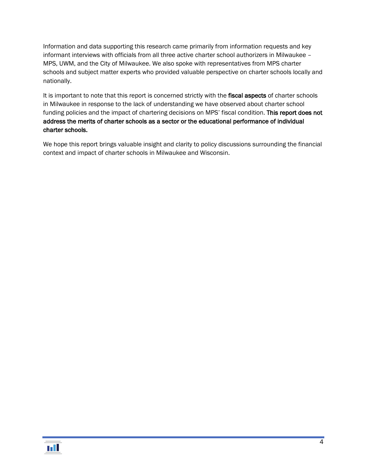Information and data supporting this research came primarily from information requests and key informant interviews with officials from all three active charter school authorizers in Milwaukee – MPS, UWM, and the City of Milwaukee. We also spoke with representatives from MPS charter schools and subject matter experts who provided valuable perspective on charter schools locally and nationally.

It is important to note that this report is concerned strictly with the fiscal aspects of charter schools in Milwaukee in response to the lack of understanding we have observed about charter school funding policies and the impact of chartering decisions on MPS' fiscal condition. This report does not address the merits of charter schools as a sector or the educational performance of individual charter schools.

We hope this report brings valuable insight and clarity to policy discussions surrounding the financial context and impact of charter schools in Milwaukee and Wisconsin.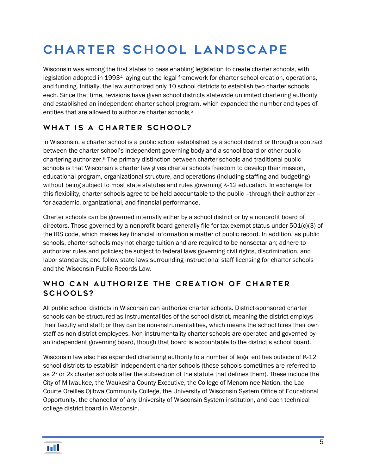# <span id="page-6-0"></span>Charter school landscape

Wisconsin was among the first states to pass enabling legislation to create charter schools, with legislation adopted in 1993[4](#page-42-0) laying out the legal framework for charter school creation, operations, and funding. Initially, the law authorized only 10 school districts to establish two charter schools each. Since that time, revisions have given school districts statewide unlimited chartering authority and established an independent charter school program, which expanded the number and types of entities that are allowed to authorize charter schools. [5](#page-42-1)

# <span id="page-6-1"></span>WHAT IS A CHARTER SCHOOL?

In Wisconsin, a charter school is a public school established by a school district or through a contract between the charter school's independent governing body and a school board or other public chartering authorizer.[6](#page-42-2) The primary distinction between charter schools and traditional public schools is that Wisconsin's charter law gives charter schools freedom to develop their mission, educational program, organizational structure, and operations (including staffing and budgeting) without being subject to most state statutes and rules governing K-12 education. In exchange for this flexibility, charter schools agree to be held accountable to the public –through their authorizer – for academic, organizational, and financial performance.

Charter schools can be governed internally either by a school district or by a nonprofit board of directors. Those governed by a nonprofit board generally file for tax exempt status under 501(c)(3) of the IRS code, which makes key financial information a matter of public record. In addition, as public schools, charter schools may not charge tuition and are required to be nonsectarian; adhere to authorizer rules and policies; be subject to federal laws governing civil rights, discrimination, and labor standards; and follow state laws surrounding instructional staff licensing for charter schools and the Wisconsin Public Records Law.

# <span id="page-6-2"></span>Who can authorize the creation of charter schools?

All public school districts in Wisconsin can authorize charter schools. District-sponsored charter schools can be structured as instrumentalities of the school district, meaning the district employs their faculty and staff; or they can be non-instrumentalities, which means the school hires their own staff as non-district employees. Non-instrumentality charter schools are operated and governed by an independent governing board, though that board is accountable to the district's school board.

Wisconsin law also has expanded chartering authority to a number of legal entities outside of K-12 school districts to establish independent charter schools (these schools sometimes are referred to as 2r or 2x charter schools after the subsection of the statute that defines them). These include the City of Milwaukee, the Waukesha County Executive, the College of Menominee Nation, the Lac Courte Oreilles Ojibwa Community College, the University of Wisconsin System Office of Educational Opportunity, the chancellor of any University of Wisconsin System institution, and each technical college district board in Wisconsin.

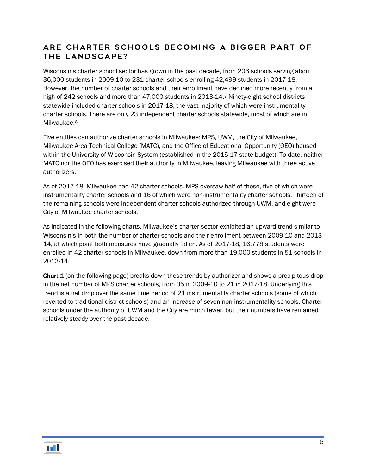### <span id="page-7-0"></span>Are charter schools becoming a bigger part of the landscape?

Wisconsin's charter school sector has grown in the past decade, from 206 schools serving about 36,000 students in 2009-10 to 231 charter schools enrolling 42,499 students in 2017-18. However, the number of charter schools and their enrollment have declined more recently from a high of 242 schools and more than 4[7](#page-43-0),000 students in 2013-14.<sup>7</sup> Ninety-eight school districts statewide included charter schools in 2017-18, the vast majority of which were instrumentality charter schools. There are only 23 independent charter schools statewide, most of which are in Milwaukee.[8](#page-43-1)

Five entities can authorize charter schools in Milwaukee: MPS, UWM, the City of Milwaukee, Milwaukee Area Technical College (MATC), and the Office of Educational Opportunity (OEO) housed within the University of Wisconsin System (established in the 2015-17 state budget). To date, neither MATC nor the OEO has exercised their authority in Milwaukee, leaving Milwaukee with three active authorizers.

As of 2017-18, Milwaukee had 42 charter schools. MPS oversaw half of those, five of which were instrumentality charter schools and 16 of which were non-instrumentality charter schools. Thirteen of the remaining schools were independent charter schools authorized through UWM, and eight were City of Milwaukee charter schools.

As indicated in the following charts, Milwaukee's charter sector exhibited an upward trend similar to Wisconsin's in both the number of charter schools and their enrollment between 2009-10 and 2013- 14, at which point both measures have gradually fallen. As of 2017-18, 16,778 students were enrolled in 42 charter schools in Milwaukee, down from more than 19,000 students in 51 schools in 2013-14.

**Chart 1** (on the following page) breaks down these trends by authorizer and shows a precipitous drop in the net number of MPS charter schools, from 35 in 2009-10 to 21 in 2017-18. Underlying this trend is a net drop over the same time period of 21 instrumentality charter schools (some of which reverted to traditional district schools) and an increase of seven non-instrumentality schools. Charter schools under the authority of UWM and the City are much fewer, but their numbers have remained relatively steady over the past decade.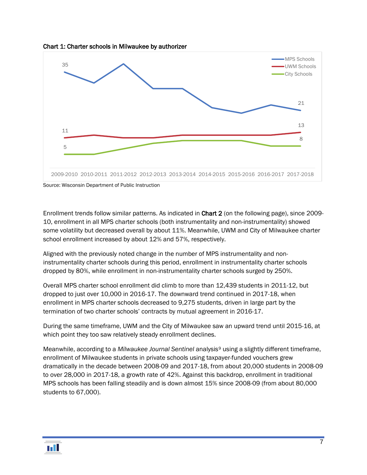



Source: Wisconsin Department of Public Instruction

Enrollment trends follow similar patterns. As indicated in Chart 2 (on the following page), since 2009- 10, enrollment in all MPS charter schools (both instrumentality and non-instrumentality) showed some volatility but decreased overall by about 11%. Meanwhile, UWM and City of Milwaukee charter school enrollment increased by about 12% and 57%, respectively.

Aligned with the previously noted change in the number of MPS instrumentality and noninstrumentality charter schools during this period, enrollment in instrumentality charter schools dropped by 80%, while enrollment in non-instrumentality charter schools surged by 250%.

Overall MPS charter school enrollment did climb to more than 12,439 students in 2011-12, but dropped to just over 10,000 in 2016-17. The downward trend continued in 2017-18, when enrollment in MPS charter schools decreased to 9,275 students, driven in large part by the termination of two charter schools' contracts by mutual agreement in 2016-17.

During the same timeframe, UWM and the City of Milwaukee saw an upward trend until 2015-16, at which point they too saw relatively steady enrollment declines.

Meanwhile, according to a *Milwaukee Journal Sentinel* analysis[9](#page-43-2) using a slightly different timeframe, enrollment of Milwaukee students in private schools using taxpayer-funded vouchers grew dramatically in the decade between 2008-09 and 2017-18, from about 20,000 students in 2008-09 to over 28,000 in 2017-18, a growth rate of 42%. Against this backdrop, enrollment in traditional MPS schools has been falling steadily and is down almost 15% since 2008-09 (from about 80,000 students to 67,000).

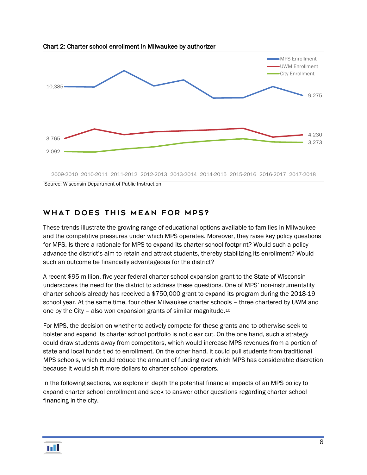

Chart 2: Charter school enrollment in Milwaukee by authorizer

# <span id="page-9-0"></span>What does this mean for MPS?

These trends illustrate the growing range of educational options available to families in Milwaukee and the competitive pressures under which MPS operates. Moreover, they raise key policy questions for MPS. Is there a rationale for MPS to expand its charter school footprint? Would such a policy advance the district's aim to retain and attract students, thereby stabilizing its enrollment? Would such an outcome be financially advantageous for the district?

A recent \$95 million, five-year federal charter school expansion grant to the State of Wisconsin underscores the need for the district to address these questions. One of MPS' non-instrumentality charter schools already has received a \$750,000 grant to expand its program during the 2018-19 school year. At the same time, four other Milwaukee charter schools – three chartered by UWM and one by the City – also won expansion grants of similar magnitude.[10](#page-44-0)

For MPS, the decision on whether to actively compete for these grants and to otherwise seek to bolster and expand its charter school portfolio is not clear cut. On the one hand, such a strategy could draw students away from competitors, which would increase MPS revenues from a portion of state and local funds tied to enrollment. On the other hand, it could pull students from traditional MPS schools, which could reduce the amount of funding over which MPS has considerable discretion because it would shift more dollars to charter school operators.

In the following sections, we explore in depth the potential financial impacts of an MPS policy to expand charter school enrollment and seek to answer other questions regarding charter school financing in the city.

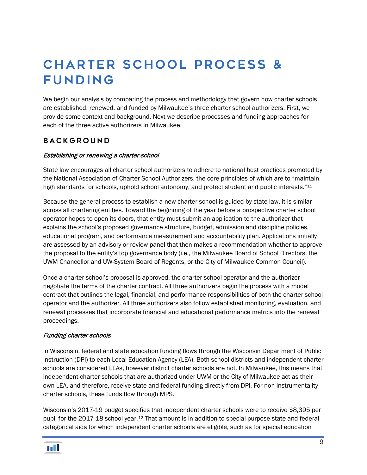# <span id="page-10-0"></span>**CHARTER SCHOOL PROCESS &** funding

We begin our analysis by comparing the process and methodology that govern how charter schools are established, renewed, and funded by Milwaukee's three charter school authorizers. First, we provide some context and background. Next we describe processes and funding approaches for each of the three active authorizers in Milwaukee.

### <span id="page-10-1"></span>**BACKGROUND**

#### Establishing or renewing a charter school

State law encourages all charter school authorizers to adhere to national best practices promoted by the National Association of Charter School Authorizers, the core principles of which are to "maintain high standards for schools, uphold school autonomy, and protect student and public interests."<sup>[11](#page-44-1)</sup>

Because the general process to establish a new charter school is guided by state law, it is similar across all chartering entities. Toward the beginning of the year before a prospective charter school operator hopes to open its doors, that entity must submit an application to the authorizer that explains the school's proposed governance structure, budget, admission and discipline policies, educational program, and performance measurement and accountability plan. Applications initially are assessed by an advisory or review panel that then makes a recommendation whether to approve the proposal to the entity's top governance body (i.e., the Milwaukee Board of School Directors, the UWM Chancellor and UW-System Board of Regents, or the City of Milwaukee Common Council).

Once a charter school's proposal is approved, the charter school operator and the authorizer negotiate the terms of the charter contract. All three authorizers begin the process with a model contract that outlines the legal, financial, and performance responsibilities of both the charter school operator and the authorizer. All three authorizers also follow established monitoring, evaluation, and renewal processes that incorporate financial and educational performance metrics into the renewal proceedings.

#### Funding charter schools

In Wisconsin, federal and state education funding flows through the Wisconsin Department of Public Instruction (DPI) to each Local Education Agency (LEA). Both school districts and independent charter schools are considered LEAs, however district charter schools are not. In Milwaukee, this means that independent charter schools that are authorized under UWM or the City of Milwaukee act as their own LEA, and therefore, receive state and federal funding directly from DPI. For non-instrumentality charter schools, these funds flow through MPS.

Wisconsin's 2017-19 budget specifies that independent charter schools were to receive \$8,395 per pupil for the 2017-18 school year.[12](#page-44-2) That amount is in addition to special purpose state and federal categorical aids for which independent charter schools are eligible, such as for special education

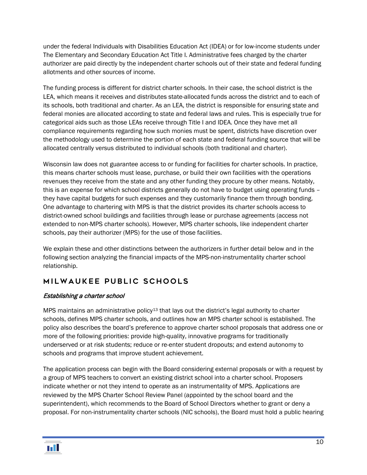under the federal Individuals with Disabilities Education Act (IDEA) or for low-income students under The Elementary and Secondary Education Act Title I. Administrative fees charged by the charter authorizer are paid directly by the independent charter schools out of their state and federal funding allotments and other sources of income.

The funding process is different for district charter schools. In their case, the school district is the LEA, which means it receives and distributes state-allocated funds across the district and to each of its schools, both traditional and charter. As an LEA, the district is responsible for ensuring state and federal monies are allocated according to state and federal laws and rules. This is especially true for categorical aids such as those LEAs receive through Title I and IDEA. Once they have met all compliance requirements regarding how such monies must be spent, districts have discretion over the methodology used to determine the portion of each state and federal funding source that will be allocated centrally versus distributed to individual schools (both traditional and charter).

Wisconsin law does not guarantee access to or funding for facilities for charter schools. In practice, this means charter schools must lease, purchase, or build their own facilities with the operations revenues they receive from the state and any other funding they procure by other means. Notably, this is an expense for which school districts generally do not have to budget using operating funds – they have capital budgets for such expenses and they customarily finance them through bonding. One advantage to chartering with MPS is that the district provides its charter schools access to district-owned school buildings and facilities through lease or purchase agreements (access not extended to non-MPS charter schools). However, MPS charter schools, like independent charter schools, pay their authorizer (MPS) for the use of those facilities.

We explain these and other distinctions between the authorizers in further detail below and in the following section analyzing the financial impacts of the MPS-non-instrumentality charter school relationship.

# <span id="page-11-0"></span>Milwaukee Public Schools

#### Establishing a charter school

MPS maintains an administrative policy<sup>[13](#page-44-3)</sup> that lays out the district's legal authority to charter schools, defines MPS charter schools, and outlines how an MPS charter school is established. The policy also describes the board's preference to approve charter school proposals that address one or more of the following priorities: provide high-quality, innovative programs for traditionally underserved or at risk students; reduce or re-enter student dropouts; and extend autonomy to schools and programs that improve student achievement.

The application process can begin with the Board considering external proposals or with a request by a group of MPS teachers to convert an existing district school into a charter school. Proposers indicate whether or not they intend to operate as an instrumentality of MPS. Applications are reviewed by the MPS Charter School Review Panel (appointed by the school board and the superintendent), which recommends to the Board of School Directors whether to grant or deny a proposal. For non-instrumentality charter schools (NIC schools), the Board must hold a public hearing

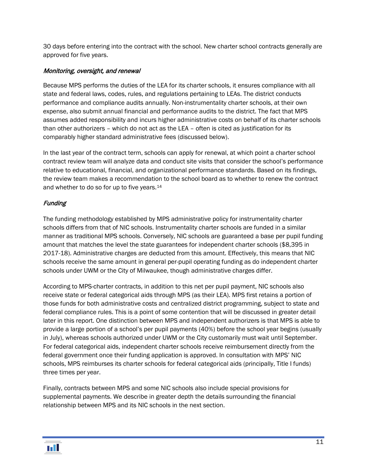30 days before entering into the contract with the school. New charter school contracts generally are approved for five years.

#### Monitoring, oversight, and renewal

Because MPS performs the duties of the LEA for its charter schools, it ensures compliance with all state and federal laws, codes, rules, and regulations pertaining to LEAs. The district conducts performance and compliance audits annually. Non-instrumentality charter schools, at their own expense, also submit annual financial and performance audits to the district. The fact that MPS assumes added responsibility and incurs higher administrative costs on behalf of its charter schools than other authorizers – which do not act as the LEA – often is cited as justification for its comparably higher standard administrative fees (discussed below).

In the last year of the contract term, schools can apply for renewal, at which point a charter school contract review team will analyze data and conduct site visits that consider the school's performance relative to educational, financial, and organizational performance standards. Based on its findings, the review team makes a recommendation to the school board as to whether to renew the contract and whether to do so for up to five years.[14](#page-44-4)

#### **Funding**

The funding methodology established by MPS administrative policy for instrumentality charter schools differs from that of NIC schools. Instrumentality charter schools are funded in a similar manner as traditional MPS schools. Conversely, NIC schools are guaranteed a base per pupil funding amount that matches the level the state guarantees for independent charter schools (\$8,395 in 2017-18). Administrative charges are deducted from this amount. Effectively, this means that NIC schools receive the same amount in general per-pupil operating funding as do independent charter schools under UWM or the City of Milwaukee, though administrative charges differ.

According to MPS-charter contracts, in addition to this net per pupil payment, NIC schools also receive state or federal categorical aids through MPS (as their LEA). MPS first retains a portion of those funds for both administrative costs and centralized district programming, subject to state and federal compliance rules. This is a point of some contention that will be discussed in greater detail later in this report. One distinction between MPS and independent authorizers is that MPS is able to provide a large portion of a school's per pupil payments (40%) before the school year begins (usually in July), whereas schools authorized under UWM or the City customarily must wait until September. For federal categorical aids, independent charter schools receive reimbursement directly from the federal government once their funding application is approved. In consultation with MPS' NIC schools, MPS reimburses its charter schools for federal categorical aids (principally, Title I funds) three times per year.

Finally, contracts between MPS and some NIC schools also include special provisions for supplemental payments. We describe in greater depth the details surrounding the financial relationship between MPS and its NIC schools in the next section.

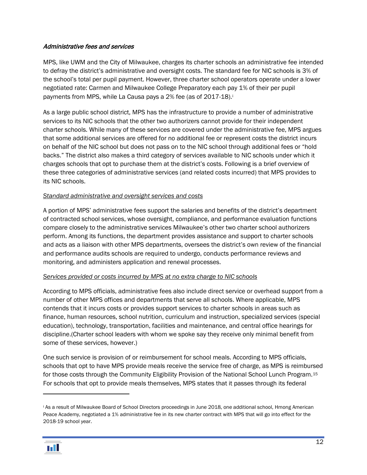#### Administrative fees and services

MPS, like UWM and the City of Milwaukee, charges its charter schools an administrative fee intended to defray the district's administrative and oversight costs. The standard fee for NIC schools is 3% of the school's total per pupil payment. However, three charter school operators operate under a lower negotiated rate: Carmen and Milwaukee College Preparatory each pay 1% of their per pupil payments from MPS, wh[i](#page-13-0)le La Causa pays a 2% fee (as of 2017-18).<sup>i</sup>

As a large public school district, MPS has the infrastructure to provide a number of administrative services to its NIC schools that the other two authorizers cannot provide for their independent charter schools. While many of these services are covered under the administrative fee, MPS argues that some additional services are offered for no additional fee or represent costs the district incurs on behalf of the NIC school but does not pass on to the NIC school through additional fees or "hold backs." The district also makes a third category of services available to NIC schools under which it charges schools that opt to purchase them at the district's costs. Following is a brief overview of these three categories of administrative services (and related costs incurred) that MPS provides to its NIC schools.

#### *Standard administrative and oversight services and costs*

A portion of MPS' administrative fees support the salaries and benefits of the district's department of contracted school services, whose oversight, compliance, and performance evaluation functions compare closely to the administrative services Milwaukee's other two charter school authorizers perform. Among its functions, the department provides assistance and support to charter schools and acts as a liaison with other MPS departments, oversees the district's own review of the financial and performance audits schools are required to undergo, conducts performance reviews and monitoring, and administers application and renewal processes.

#### *Services provided or costs incurred by MPS at no extra charge to NIC schools*

According to MPS officials, administrative fees also include direct service or overhead support from a number of other MPS offices and departments that serve all schools. Where applicable, MPS contends that it incurs costs or provides support services to charter schools in areas such as finance, human resources, school nutrition, curriculum and instruction, specialized services (special education), technology, transportation, facilities and maintenance, and central office hearings for discipline.(Charter school leaders with whom we spoke say they receive only minimal benefit from some of these services, however.)

One such service is provision of or reimbursement for school meals. According to MPS officials, schools that opt to have MPS provide meals receive the service free of charge, as MPS is reimbursed for those costs through the Community Eligibility Provision of the National School Lunch Program.[15](#page-44-5) For schools that opt to provide meals themselves, MPS states that it passes through its federal

<span id="page-13-0"></span><sup>i</sup> As a result of Milwaukee Board of School Directors proceedings in June 2018, one additional school, Hmong American Peace Academy, negotiated a 1% administrative fee in its new charter contract with MPS that will go into effect for the 2018-19 school year.



 $\overline{a}$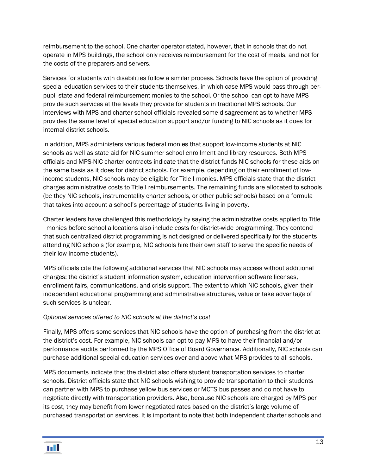reimbursement to the school. One charter operator stated, however, that in schools that do not operate in MPS buildings, the school only receives reimbursement for the cost of meals, and not for the costs of the preparers and servers.

Services for students with disabilities follow a similar process. Schools have the option of providing special education services to their students themselves, in which case MPS would pass through perpupil state and federal reimbursement monies to the school. Or the school can opt to have MPS provide such services at the levels they provide for students in traditional MPS schools. Our interviews with MPS and charter school officials revealed some disagreement as to whether MPS provides the same level of special education support and/or funding to NIC schools as it does for internal district schools.

In addition, MPS administers various federal monies that support low-income students at NIC schools as well as state aid for NIC summer school enrollment and library resources. Both MPS officials and MPS-NIC charter contracts indicate that the district funds NIC schools for these aids on the same basis as it does for district schools. For example, depending on their enrollment of lowincome students, NIC schools may be eligible for Title I monies. MPS officials state that the district charges administrative costs to Title I reimbursements. The remaining funds are allocated to schools (be they NIC schools, instrumentality charter schools, or other public schools) based on a formula that takes into account a school's percentage of students living in poverty.

Charter leaders have challenged this methodology by saying the administrative costs applied to Title I monies before school allocations also include costs for district-wide programming. They contend that such centralized district programming is not designed or delivered specifically for the students attending NIC schools (for example, NIC schools hire their own staff to serve the specific needs of their low-income students).

MPS officials cite the following additional services that NIC schools may access without additional charges: the district's student information system, education intervention software licenses, enrollment fairs, communications, and crisis support. The extent to which NIC schools, given their independent educational programming and administrative structures, value or take advantage of such services is unclear.

#### *Optional services offered to NIC schools at the district's cost*

Finally, MPS offers some services that NIC schools have the option of purchasing from the district at the district's cost. For example, NIC schools can opt to pay MPS to have their financial and/or performance audits performed by the MPS Office of Board Governance. Additionally, NIC schools can purchase additional special education services over and above what MPS provides to all schools.

MPS documents indicate that the district also offers student transportation services to charter schools. District officials state that NIC schools wishing to provide transportation to their students can partner with MPS to purchase yellow bus services or MCTS bus passes and do not have to negotiate directly with transportation providers. Also, because NIC schools are charged by MPS per its cost, they may benefit from lower negotiated rates based on the district's large volume of purchased transportation services. It is important to note that both independent charter schools and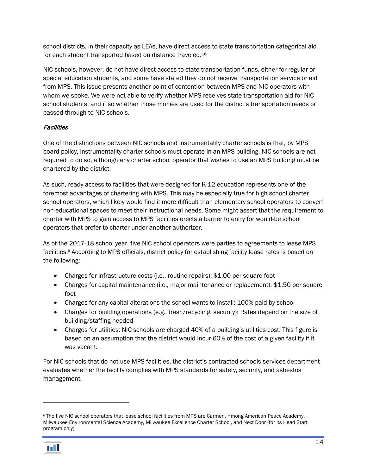school districts, in their capacity as LEAs, have direct access to state transportation categorical aid for each student transported based on distance traveled.[16](#page-44-6)

NIC schools, however, do not have direct access to state transportation funds, either for regular or special education students, and some have stated they do not receive transportation service or aid from MPS. This issue presents another point of contention between MPS and NIC operators with whom we spoke. We were not able to verify whether MPS receives state transportation aid for NIC school students, and if so whether those monies are used for the district's transportation needs or passed through to NIC schools.

#### **Facilities**

One of the distinctions between NIC schools and instrumentality charter schools is that, by MPS board policy, instrumentality charter schools must operate in an MPS building. NIC schools are not required to do so, although any charter school operator that wishes to use an MPS building must be chartered by the district.

As such, ready access to facilities that were designed for K-12 education represents one of the foremost advantages of chartering with MPS. This may be especially true for high school charter school operators, which likely would find it more difficult than elementary school operators to convert non-educational spaces to meet their instructional needs. Some might assert that the requirement to charter with MPS to gain access to MPS facilities erects a barrier to entry for would-be school operators that prefer to charter under another authorizer.

As of the 2017-18 school year, five NIC school operators were parties to agreements to lease MPS facilities.<sup>[ii](#page-15-0)</sup> According to MPS officials, district policy for establishing facility lease rates is based on the following:

- Charges for infrastructure costs (i.e., routine repairs): \$1.00 per square foot
- Charges for capital maintenance (i.e., major maintenance or replacement): \$1.50 per square foot
- Charges for any capital alterations the school wants to install: 100% paid by school
- Charges for building operations (e.g., trash/recycling, security): Rates depend on the size of building/staffing needed
- Charges for utilities: NIC schools are charged 40% of a building's utilities cost. This figure is based on an assumption that the district would incur 60% of the cost of a given facility if it was vacant.

For NIC schools that do not use MPS facilities, the district's contracted schools services department evaluates whether the facility complies with MPS standards for safety, security, and asbestos management.

<span id="page-15-0"></span>ii The five NIC school operators that lease school facilities from MPS are Carmen, Hmong American Peace Academy, Milwaukee Environmental Science Academy, Milwaukee Excellence Charter School, and Next Door (for its Head Start program only).



 $\overline{a}$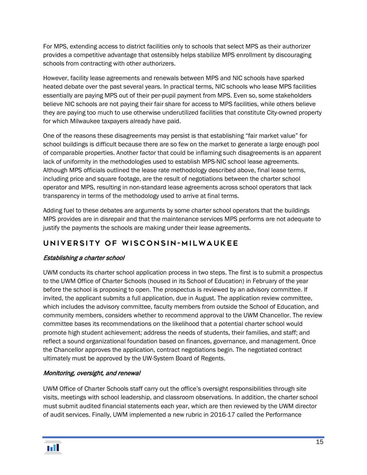For MPS, extending access to district facilities only to schools that select MPS as their authorizer provides a competitive advantage that ostensibly helps stabilize MPS enrollment by discouraging schools from contracting with other authorizers.

However, facility lease agreements and renewals between MPS and NIC schools have sparked heated debate over the past several years. In practical terms, NIC schools who lease MPS facilities essentially are paying MPS out of their per-pupil payment from MPS. Even so, some stakeholders believe NIC schools are not paying their fair share for access to MPS facilities, while others believe they are paying too much to use otherwise underutilized facilities that constitute City-owned property for which Milwaukee taxpayers already have paid.

One of the reasons these disagreements may persist is that establishing "fair market value" for school buildings is difficult because there are so few on the market to generate a large enough pool of comparable properties. Another factor that could be inflaming such disagreements is an apparent lack of uniformity in the methodologies used to establish MPS-NIC school lease agreements. Although MPS officials outlined the lease rate methodology described above, final lease terms, including price and square footage, are the result of negotiations between the charter school operator and MPS, resulting in non-standard lease agreements across school operators that lack transparency in terms of the methodology used to arrive at final terms.

Adding fuel to these debates are arguments by some charter school operators that the buildings MPS provides are in disrepair and that the maintenance services MPS performs are not adequate to justify the payments the schools are making under their lease agreements.

# <span id="page-16-0"></span>University of Wisconsin - Milwaukee

#### Establishing a charter school

UWM conducts its charter school application process in two steps. The first is to submit a prospectus to the UWM Office of Charter Schools (housed in its School of Education) in February of the year before the school is proposing to open. The prospectus is reviewed by an advisory committee. If invited, the applicant submits a full application, due in August. The application review committee, which includes the advisory committee, faculty members from outside the School of Education, and community members, considers whether to recommend approval to the UWM Chancellor. The review committee bases its recommendations on the likelihood that a potential charter school would promote high student achievement; address the needs of students, their families, and staff; and reflect a sound organizational foundation based on finances, governance, and management. Once the Chancellor approves the application, contract negotiations begin. The negotiated contract ultimately must be approved by the UW-System Board of Regents.

#### Monitoring, oversight, and renewal

UWM Office of Charter Schools staff carry out the office's oversight responsibilities through site visits, meetings with school leadership, and classroom observations. In addition, the charter school must submit audited financial statements each year, which are then reviewed by the UWM director of audit services. Finally, UWM implemented a new rubric in 2016-17 called the Performance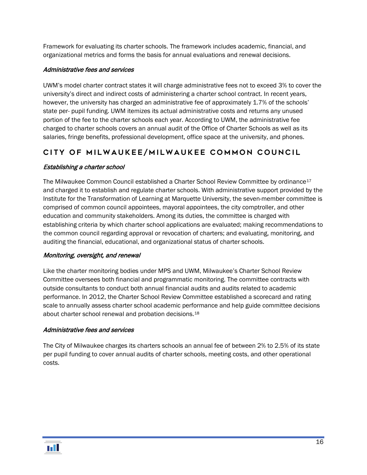Framework for evaluating its charter schools. The framework includes academic, financial, and organizational metrics and forms the basis for annual evaluations and renewal decisions.

#### Administrative fees and services

UWM's model charter contract states it will charge administrative fees not to exceed 3% to cover the university's direct and indirect costs of administering a charter school contract. In recent years, however, the university has charged an administrative fee of approximately 1.7% of the schools' state per- pupil funding. UWM itemizes its actual administrative costs and returns any unused portion of the fee to the charter schools each year. According to UWM, the administrative fee charged to charter schools covers an annual audit of the Office of Charter Schools as well as its salaries, fringe benefits, professional development, office space at the university, and phones.

# <span id="page-17-0"></span>City of Milwaukee/Milwaukee Common Council

#### Establishing a charter school

The Milwaukee Common Council established a Charter School Review Committee by ordinance<sup>[17](#page-44-7)</sup> and charged it to establish and regulate charter schools. With administrative support provided by the Institute for the Transformation of Learning at Marquette University, the seven-member committee is comprised of common council appointees, mayoral appointees, the city comptroller, and other education and community stakeholders. Among its duties, the committee is charged with establishing criteria by which charter school applications are evaluated; making recommendations to the common council regarding approval or revocation of charters; and evaluating, monitoring, and auditing the financial, educational, and organizational status of charter schools.

#### Monitoring, oversight, and renewal

Like the charter monitoring bodies under MPS and UWM, Milwaukee's Charter School Review Committee oversees both financial and programmatic monitoring. The committee contracts with outside consultants to conduct both annual financial audits and audits related to academic performance. In 2012, the Charter School Review Committee established a scorecard and rating scale to annually assess charter school academic performance and help guide committee decisions about charter school renewal and probation decisions[.18](#page-44-8)

#### Administrative fees and services

The City of Milwaukee charges its charters schools an annual fee of between 2% to 2.5% of its state per pupil funding to cover annual audits of charter schools, meeting costs, and other operational costs.

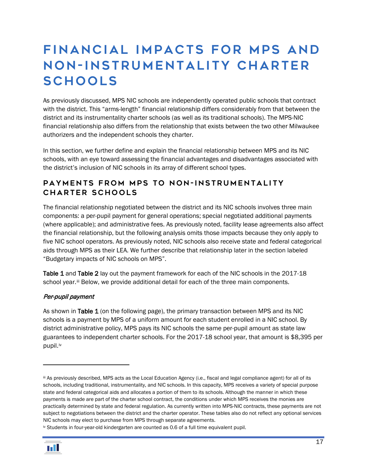# <span id="page-18-0"></span>FINANCIAL IMPACTS FOR MPS AND Non- instrumentality charter **SCHOOLS**

As previously discussed, MPS NIC schools are independently operated public schools that contract with the district. This "arms-length" financial relationship differs considerably from that between the district and its instrumentality charter schools (as well as its traditional schools). The MPS-NIC financial relationship also differs from the relationship that exists between the two other Milwaukee authorizers and the independent schools they charter.

In this section, we further define and explain the financial relationship between MPS and its NIC schools, with an eye toward assessing the financial advantages and disadvantages associated with the district's inclusion of NIC schools in its array of different school types.

### <span id="page-18-1"></span>PAYMENTS FROM MPS TO NON-INSTRUMENTALITY charter schools

The financial relationship negotiated between the district and its NIC schools involves three main components: a per-pupil payment for general operations; special negotiated additional payments (where applicable); and administrative fees. As previously noted, facility lease agreements also affect the financial relationship, but the following analysis omits those impacts because they only apply to five NIC school operators. As previously noted, NIC schools also receive state and federal categorical aids through MPS as their LEA. We further describe that relationship later in the section labeled "Budgetary impacts of NIC schools on MPS".

Table 1 and Table 2 lay out the payment framework for each of the NIC schools in the 2017-18 school year.<sup>[iii](#page-18-2)</sup> Below, we provide additional detail for each of the three main components.

#### Per-pupil payment

As shown in Table 1 (on the following page), the primary transaction between MPS and its NIC schools is a payment by MPS of a uniform amount for each student enrolled in a NIC school. By district administrative policy, MPS pays its NIC schools the same per-pupil amount as state law guarantees to independent charter schools. For the 2017-18 school year, that amount is \$8,395 per pupil.[iv](#page-18-3)

<span id="page-18-3"></span>iv Students in four-year-old kindergarten are counted as 0.6 of a full time equivalent pupil.



 $\overline{a}$ 

<span id="page-18-2"></span>iii As previously described, MPS acts as the Local Education Agency (i.e., fiscal and legal compliance agent) for all of its schools, including traditional, instrumentality, and NIC schools. In this capacity, MPS receives a variety of special purpose state and federal categorical aids and allocates a portion of them to its schools. Although the manner in which these payments is made are part of the charter school contract, the conditions under which MPS receives the monies are practically determined by state and federal regulation. As currently written into MPS-NIC contracts, these payments are not subject to negotiations between the district and the charter operator. These tables also do not reflect any optional services NIC schools may elect to purchase from MPS through separate agreements.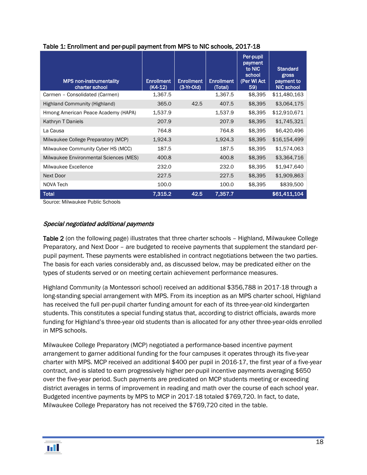| <b>MPS non-instrumentality</b><br>charter school | <b>Enrollment</b><br>(K4-12) | <b>Enrollment</b><br>$(3-Yr-Old)$ | <b>Enrollment</b><br>(Total) | Per-pupil<br>payment<br>to NIC<br>school<br>(Per WI Act<br>59) | <b>Standard</b><br>gross<br>payment to<br><b>NIC school</b> |
|--------------------------------------------------|------------------------------|-----------------------------------|------------------------------|----------------------------------------------------------------|-------------------------------------------------------------|
| Carmen - Consolidated (Carmen)                   | 1,367.5                      |                                   | 1,367.5                      | \$8,395                                                        | \$11,480,163                                                |
| <b>Highland Community (Highland)</b>             | 365.0                        | 42.5                              | 407.5                        | \$8,395                                                        | \$3,064,175                                                 |
| Hmong American Peace Academy (HAPA)              | 1,537.9                      |                                   | 1,537.9                      | \$8,395                                                        | \$12,910,671                                                |
| Kathryn T Daniels                                | 207.9                        |                                   | 207.9                        | \$8,395                                                        | \$1,745,321                                                 |
| La Causa                                         | 764.8                        |                                   | 764.8                        | \$8,395                                                        | \$6,420,496                                                 |
| Milwaukee College Preparatory (MCP)              | 1,924.3                      |                                   | 1,924.3                      | \$8,395                                                        | \$16,154,499                                                |
| Milwaukee Community Cyber HS (MCC)               | 187.5                        |                                   | 187.5                        | \$8,395                                                        | \$1,574,063                                                 |
| Milwaukee Environmental Sciences (MES)           | 400.8                        |                                   | 400.8                        | \$8,395                                                        | \$3,364,716                                                 |
| Milwaukee Excellence                             | 232.0                        |                                   | 232.0                        | \$8,395                                                        | \$1,947,640                                                 |
| Next Door                                        | 227.5                        |                                   | 227.5                        | \$8,395                                                        | \$1,909,863                                                 |
| NOVA Tech                                        | 100.0                        |                                   | 100.0                        | \$8,395                                                        | \$839,500                                                   |
| <b>Total</b>                                     | 7.315.2                      | 42.5                              | 7.357.7                      |                                                                | \$61,411,104                                                |

#### Table 1: Enrollment and per-pupil payment from MPS to NIC schools, 2017-18

Source: Milwaukee Public Schools

#### Special negotiated additional payments

Table 2 (on the following page) illustrates that three charter schools – Highland, Milwaukee College Preparatory, and Next Door – are budgeted to receive payments that supplement the standard perpupil payment. These payments were established in contract negotiations between the two parties. The basis for each varies considerably and, as discussed below, may be predicated either on the types of students served or on meeting certain achievement performance measures.

Highland Community (a Montessori school) received an additional \$356,788 in 2017-18 through a long-standing special arrangement with MPS. From its inception as an MPS charter school, Highland has received the full per-pupil charter funding amount for each of its three-year-old kindergarten students. This constitutes a special funding status that, according to district officials, awards more funding for Highland's three-year old students than is allocated for any other three-year-olds enrolled in MPS schools.

Milwaukee College Preparatory (MCP) negotiated a performance-based incentive payment arrangement to garner additional funding for the four campuses it operates through its five-year charter with MPS. MCP received an additional \$400 per pupil in 2016-17, the first year of a five-year contract, and is slated to earn progressively higher per-pupil incentive payments averaging \$650 over the five-year period. Such payments are predicated on MCP students meeting or exceeding district averages in terms of improvement in reading and math over the course of each school year. Budgeted incentive payments by MPS to MCP in 2017-18 totaled \$769,720. In fact, to date, Milwaukee College Preparatory has not received the \$769,720 cited in the table.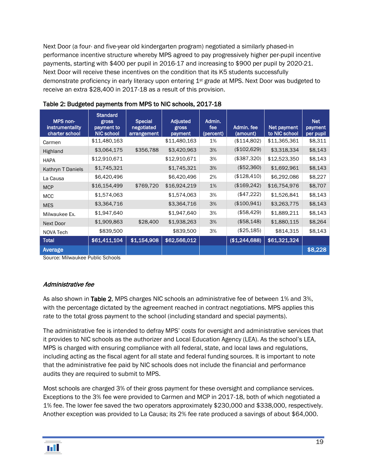Next Door (a four- and five-year old kindergarten program) negotiated a similarly phased-in performance incentive structure whereby MPS agreed to pay progressively higher per-pupil incentive payments, starting with \$400 per pupil in 2016-17 and increasing to \$900 per pupil by 2020-21. Next Door will receive these incentives on the condition that its K5 students successfully demonstrate proficiency in early literacy upon entering 1st grade at MPS. Next Door was budgeted to receive an extra \$28,400 in 2017-18 as a result of this provision.

| MPS non-<br><b>instrumentality</b><br>charter school | <b>Standard</b><br>gross<br>payment to<br><b>NIC school</b> | <b>Special</b><br>negotiated<br>arrangement | <b>Adjusted</b><br>gross<br>payment | Admin.<br>fee<br>(percent) | Admin. fee<br>(amount) | Net payment<br>to NIC school | <b>Net</b><br>payment<br>per pupil |
|------------------------------------------------------|-------------------------------------------------------------|---------------------------------------------|-------------------------------------|----------------------------|------------------------|------------------------------|------------------------------------|
| Carmen                                               | \$11,480,163                                                |                                             | \$11,480,163                        | 1%                         | (\$114,802)            | \$11,365,361                 | \$8,311                            |
| Highland                                             | \$3,064,175                                                 | \$356,788                                   | \$3,420,963                         | 3%                         | (\$102,629)            | \$3,318,334                  | \$8,143                            |
| <b>HAPA</b>                                          | \$12,910,671                                                |                                             | \$12,910,671                        | 3%                         | (\$387,320)            | \$12,523,350                 | \$8,143                            |
| Kathryn T Daniels                                    | \$1,745,321                                                 |                                             | \$1,745,321                         | 3%                         | (\$52,360)             | \$1,692,961                  | \$8,143                            |
| La Causa                                             | \$6,420,496                                                 |                                             | \$6,420,496                         | 2%                         | (\$128,410)            | \$6,292,086                  | \$8,227                            |
| <b>MCP</b>                                           | \$16,154,499                                                | \$769,720                                   | \$16,924,219                        | 1%                         | (\$169,242)            | \$16,754,976                 | \$8,707                            |
| <b>MCC</b>                                           | \$1,574,063                                                 |                                             | \$1,574,063                         | 3%                         | (\$47,222)             | \$1,526,841                  | \$8,143                            |
| <b>MES</b>                                           | \$3,364,716                                                 |                                             | \$3,364,716                         | 3%                         | (\$100,941)            | \$3,263,775                  | \$8,143                            |
| Milwaukee Ex.                                        | \$1,947,640                                                 |                                             | \$1,947,640                         | 3%                         | (\$58,429)             | \$1,889,211                  | \$8,143                            |
| Next Door                                            | \$1,909,863                                                 | \$28,400                                    | \$1,938,263                         | 3%                         | (\$58,148)             | \$1,880,115                  | \$8,264                            |
| NOVA Tech                                            | \$839,500                                                   |                                             | \$839,500                           | 3%                         | (\$25,185)             | \$814,315                    | \$8,143                            |
| <b>Total</b>                                         | \$61,411,104                                                | \$1,154,908                                 | \$62,566,012                        |                            | (\$1,244,688)          | \$61,321,324                 |                                    |
| Average                                              |                                                             |                                             |                                     |                            |                        |                              | \$8,228                            |

#### Table 2: Budgeted payments from MPS to NIC schools, 2017-18

Source: Milwaukee Public Schools

#### Administrative fee

As also shown in Table 2, MPS charges NIC schools an administrative fee of between 1% and 3%, with the percentage dictated by the agreement reached in contract negotiations. MPS applies this rate to the total gross payment to the school (including standard and special payments).

The administrative fee is intended to defray MPS' costs for oversight and administrative services that it provides to NIC schools as the authorizer and Local Education Agency (LEA). As the school's LEA, MPS is charged with ensuring compliance with all federal, state, and local laws and regulations, including acting as the fiscal agent for all state and federal funding sources. It is important to note that the administrative fee paid by NIC schools does not include the financial and performance audits they are required to submit to MPS.

Most schools are charged 3% of their gross payment for these oversight and compliance services. Exceptions to the 3% fee were provided to Carmen and MCP in 2017-18, both of which negotiated a 1% fee. The lower fee saved the two operators approximately \$230,000 and \$338,000, respectively. Another exception was provided to La Causa; its 2% fee rate produced a savings of about \$64,000.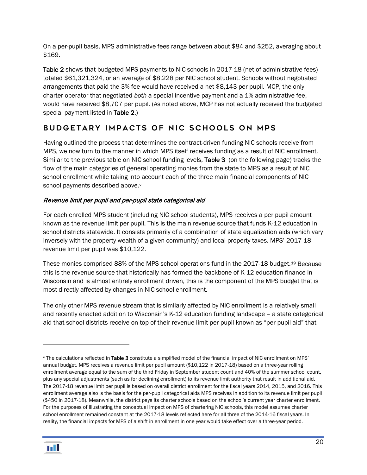On a per-pupil basis, MPS administrative fees range between about \$84 and \$252, averaging about \$169.

Table 2 shows that budgeted MPS payments to NIC schools in 2017-18 (net of administrative fees) totaled \$61,321,324, or an average of \$8,228 per NIC school student. Schools without negotiated arrangements that paid the 3% fee would have received a net \$8,143 per pupil. MCP, the only charter operator that negotiated *both* a special incentive payment and a 1% administrative fee, would have received \$8,707 per pupil. (As noted above, MCP has not actually received the budgeted special payment listed in Table 2.)

# <span id="page-21-0"></span>BUDGETARY IMPACTS OF NIC SCHOOLS ON MPS

Having outlined the process that determines the contract-driven funding NIC schools receive from MPS, we now turn to the manner in which MPS itself receives funding as a result of NIC enrollment. Similar to the previous table on NIC school funding levels, Table 3 (on the following page) tracks the flow of the main categories of general operating monies from the state to MPS as a result of NIC school enrollment while taking into account each of the three main financial components of NIC school payments described abo[v](#page-21-1)e.<sup>v</sup>

#### Revenue limit per pupil and per-pupil state categorical aid

For each enrolled MPS student (including NIC school students), MPS receives a per pupil amount known as the revenue limit per pupil. This is the main revenue source that funds K-12 education in school districts statewide. It consists primarily of a combination of state equalization aids (which vary inversely with the property wealth of a given community) and local property taxes. MPS' 2017-18 revenue limit per pupil was \$10,122.

These monies comprised 88% of the MPS school operations fund in the 2017-18 budget.[19](#page-44-9) Because this is the revenue source that historically has formed the backbone of K-12 education finance in Wisconsin and is almost entirely enrollment driven, this is the component of the MPS budget that is most directly affected by changes in NIC school enrollment.

The only other MPS revenue stream that is similarly affected by NIC enrollment is a relatively small and recently enacted addition to Wisconsin's K-12 education funding landscape – a state categorical aid that school districts receive on top of their revenue limit per pupil known as "per pupil aid" that

<span id="page-21-1"></span><sup>v</sup> The calculations reflected in Table 3 constitute a simplified model of the financial impact of NIC enrollment on MPS' annual budget. MPS receives a revenue limit per pupil amount (\$10,122 in 2017-18) based on a three-year rolling enrollment average equal to the sum of the third Friday in September student count and 40% of the summer school count, plus any special adjustments (such as for declining enrollment) to its revenue limit authority that result in additional aid. The 2017-18 revenue limit per pupil is based on overall district enrollment for the fiscal years 2014, 2015, and 2016. This enrollment average also is the basis for the per-pupil categorical aids MPS receives in addition to its revenue limit per pupil (\$450 in 2017-18). Meanwhile, the district pays its charter schools based on the school's current year charter enrollment. For the purposes of illustrating the conceptual impact on MPS of chartering NIC schools, this model assumes charter school enrollment remained constant at the 2017-18 levels reflected here for all three of the 2014-16 fiscal years. In reality, the financial impacts for MPS of a shift in enrollment in one year would take effect over a three-year period.



 $\overline{a}$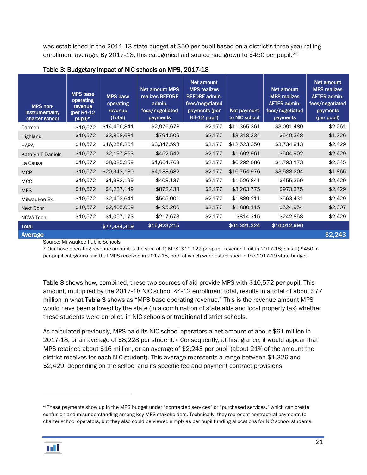was established in the 2011-13 state budget at \$50 per pupil based on a district's three-year rolling enrollment average. By 2017-18, this categorical aid source had grown to \$450 per pupil.[20](#page-44-10)

| MPS non-<br>instrumentality<br>charter school | <b>MPS</b> base<br>operating<br>revenue<br>(per K4-12<br>pupil)* | <b>MPS</b> base<br>operating<br>revenue<br>(Total) | <b>Net amount MPS</b><br>realizes BEFORE<br>admin.<br>fees/negotiated<br>payments | Net amount<br><b>MPS</b> realizes<br><b>BEFORE admin.</b><br>fees/negotiated<br>payments (per<br><b>K4-12 pupil)</b> | Net payment<br>to NIC school | Net amount<br><b>MPS realizes</b><br>AFTER admin.<br>fees/negotiated<br>payments | Net amount<br><b>MPS realizes</b><br><b>AFTER admin.</b><br>fees/negotiated<br>payments<br>(per pupil) |
|-----------------------------------------------|------------------------------------------------------------------|----------------------------------------------------|-----------------------------------------------------------------------------------|----------------------------------------------------------------------------------------------------------------------|------------------------------|----------------------------------------------------------------------------------|--------------------------------------------------------------------------------------------------------|
| Carmen                                        | \$10,572                                                         | \$14,456,841                                       | \$2,976,678                                                                       | \$2,177                                                                                                              | \$11,365,361                 | \$3,091,480                                                                      | \$2,261                                                                                                |
| Highland                                      | \$10,572                                                         | \$3,858,681                                        | \$794,506                                                                         | \$2,177                                                                                                              | \$3,318,334                  | \$540,348                                                                        | \$1,326                                                                                                |
| <b>HAPA</b>                                   | \$10,572                                                         | \$16,258,264                                       | \$3,347,593                                                                       | \$2,177                                                                                                              | \$12,523,350                 | \$3,734,913                                                                      | \$2,429                                                                                                |
| Kathryn T Daniels                             | \$10,572                                                         | \$2,197,863                                        | \$452,542                                                                         | \$2,177                                                                                                              | \$1,692,961                  | \$504,902                                                                        | \$2,429                                                                                                |
| La Causa                                      | \$10,572                                                         | \$8,085,259                                        | \$1,664,763                                                                       | \$2,177                                                                                                              | \$6,292,086                  | \$1,793,173                                                                      | \$2,345                                                                                                |
| <b>MCP</b>                                    | \$10,572                                                         | \$20,343,180                                       | \$4,188,682                                                                       | \$2,177                                                                                                              | \$16,754,976                 | \$3,588,204                                                                      | \$1,865                                                                                                |
| <b>MCC</b>                                    | \$10,572                                                         | \$1,982,199                                        | \$408,137                                                                         | \$2,177                                                                                                              | \$1,526,841                  | \$455,359                                                                        | \$2,429                                                                                                |
| <b>MES</b>                                    | \$10,572                                                         | \$4,237,149                                        | \$872,433                                                                         | \$2,177                                                                                                              | \$3,263,775                  | \$973,375                                                                        | \$2,429                                                                                                |
| Milwaukee Ex.                                 | \$10,572                                                         | \$2,452,641                                        | \$505,001                                                                         | \$2,177                                                                                                              | \$1,889,211                  | \$563,431                                                                        | \$2,429                                                                                                |
| Next Door                                     | \$10,572                                                         | \$2,405,069                                        | \$495,206                                                                         | \$2,177                                                                                                              | \$1,880,115                  | \$524,954                                                                        | \$2,307                                                                                                |
| NOVA Tech                                     | \$10,572                                                         | \$1,057,173                                        | \$217,673                                                                         | \$2,177                                                                                                              | \$814,315                    | \$242,858                                                                        | \$2,429                                                                                                |
| <b>Total</b>                                  |                                                                  | \$77,334,319                                       | \$15,923,215                                                                      |                                                                                                                      | \$61,321,324                 | \$16,012,996                                                                     |                                                                                                        |
| Average                                       |                                                                  |                                                    |                                                                                   |                                                                                                                      |                              |                                                                                  | \$2,243                                                                                                |

#### Table 3: Budgetary impact of NIC schools on MPS, 2017-18

Source: Milwaukee Public Schools

\* Our base operating revenue amount is the sum of 1) MPS' \$10,122 per-pupil revenue limit in 2017-18; plus 2) \$450 in per-pupil categorical aid that MPS received in 2017-18, both of which were established in the 2017-19 state budget.

Table 3 shows how, combined, these two sources of aid provide MPS with \$10,572 per pupil. This amount, multiplied by the 2017-18 NIC school K4-12 enrollment total, results in a total of about \$77 million in what Table 3 shows as "MPS base operating revenue." This is the revenue amount MPS would have been allowed by the state (in a combination of state aids and local property tax) whether these students were enrolled in NIC schools or traditional district schools.

As calculated previously, MPS paid its NIC school operators a net amount of about \$61 million in 2017-18, or an average of \$8,228 per student.  $\vee$  Consequently, at first glance, it would appear that MPS retained about \$16 million, or an average of \$2,243 per pupil (about 21% of the amount the district receives for each NIC student). This average represents a range between \$1,326 and \$2,429, depending on the school and its specific fee and payment contract provisions.

vi These payments show up in the MPS budget under "contracted services" or "purchased services," which can create confusion and misunderstanding among key MPS stakeholders. Technically, they represent contractual payments to charter school operators, but they also could be viewed simply as per pupil funding allocations for NIC school students.



 $\overline{a}$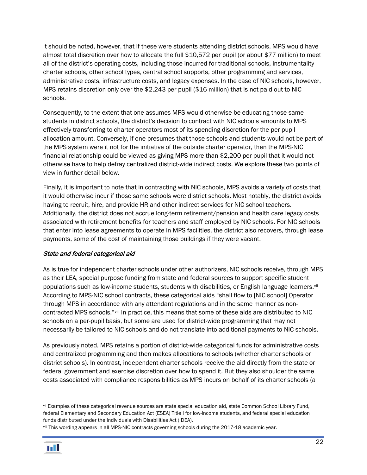It should be noted, however, that if these were students attending district schools, MPS would have almost total discretion over how to allocate the full \$10,572 per pupil (or about \$77 million) to meet all of the district's operating costs, including those incurred for traditional schools, instrumentality charter schools, other school types, central school supports, other programming and services, administrative costs, infrastructure costs, and legacy expenses. In the case of NIC schools, however, MPS retains discretion only over the \$2,243 per pupil (\$16 million) that is not paid out to NIC schools.

Consequently, to the extent that one assumes MPS would otherwise be educating those same students in district schools, the district's decision to contract with NIC schools amounts to MPS effectively transferring to charter operators most of its spending discretion for the per pupil allocation amount. Conversely, if one presumes that those schools and students would not be part of the MPS system were it not for the initiative of the outside charter operator, then the MPS-NIC financial relationship could be viewed as giving MPS more than \$2,200 per pupil that it would not otherwise have to help defray centralized district-wide indirect costs. We explore these two points of view in further detail below.

Finally, it is important to note that in contracting with NIC schools, MPS avoids a variety of costs that it would otherwise incur if those same schools were district schools. Most notably, the district avoids having to recruit, hire, and provide HR and other indirect services for NIC school teachers. Additionally, the district does not accrue long-term retirement/pension and health care legacy costs associated with retirement benefits for teachers and staff employed by NIC schools. For NIC schools that enter into lease agreements to operate in MPS facilities, the district also recovers, through lease payments, some of the cost of maintaining those buildings if they were vacant.

#### State and federal categorical aid

As is true for independent charter schools under other authorizers, NIC schools receive, through MPS as their LEA, special purpose funding from state and federal sources to support specific student populations such as low-income students, students with disabilities, or English language learners.[vii](#page-24-1) According to MPS-NIC school contracts, these categorical aids "shall flow to [NIC school] Operator through MPS in accordance with any attendant regulations and in the same manner as noncontracted MPS schools."[viii](#page-24-2) In practice, this means that some of these aids are distributed to NIC schools on a per-pupil basis, but some are used for district-wide programming that may not necessarily be tailored to NIC schools and do not translate into additional payments to NIC schools.

As previously noted, MPS retains a portion of district-wide categorical funds for administrative costs and centralized programming and then makes allocations to schools (whether charter schools or district schools). In contrast, independent charter schools receive the aid directly from the state or federal government and exercise discretion over how to spend it. But they also shoulder the same costs associated with compliance responsibilities as MPS incurs on behalf of its charter schools (a

viii This wording appears in all MPS-NIC contracts governing schools during the 2017-18 academic year.



<span id="page-23-0"></span>vii Examples of these categorical revenue sources are state special education aid, state Common School Library Fund, federal Elementary and Secondary Education Act (ESEA) Title I for low-income students, and federal special education funds distributed under the Individuals with Disabilities Act (IDEA).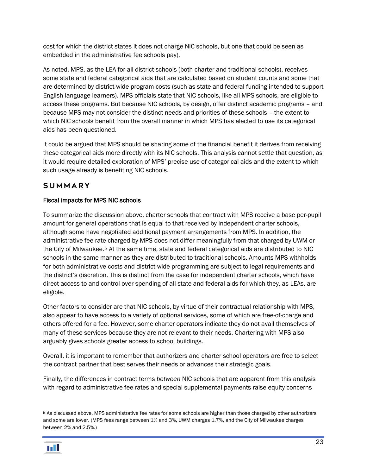cost for which the district states it does not charge NIC schools, but one that could be seen as embedded in the administrative fee schools pay).

As noted, MPS, as the LEA for all district schools (both charter and traditional schools), receives some state and federal categorical aids that are calculated based on student counts and some that are determined by district-wide program costs (such as state and federal funding intended to support English language learners). MPS officials state that NIC schools, like all MPS schools, are eligible to access these programs. But because NIC schools, by design, offer distinct academic programs – and because MPS may not consider the distinct needs and priorities of these schools – the extent to which NIC schools benefit from the overall manner in which MPS has elected to use its categorical aids has been questioned.

It could be argued that MPS should be sharing some of the financial benefit it derives from receiving these categorical aids more directly with its NIC schools. This analysis cannot settle that question, as it would require detailed exploration of MPS' precise use of categorical aids and the extent to which such usage already is benefiting NIC schools.

# <span id="page-24-0"></span>Summary

#### Fiscal impacts for MPS NIC schools

To summarize the discussion above, charter schools that contract with MPS receive a base per-pupil amount for general operations that is equal to that received by independent charter schools, although some have negotiated additional payment arrangements from MPS. In addition, the administrative fee rate charged by MPS does not differ meaningfully from that charged by UWM or the City of Milwaukee.<sup>[ix](#page-25-0)</sup> At the same time, state and federal categorical aids are distributed to NIC schools in the same manner as they are distributed to traditional schools. Amounts MPS withholds for both administrative costs and district-wide programming are subject to legal requirements and the district's discretion. This is distinct from the case for independent charter schools, which have direct access to and control over spending of all state and federal aids for which they, as LEAs, are eligible.

Other factors to consider are that NIC schools, by virtue of their contractual relationship with MPS, also appear to have access to a variety of optional services, some of which are free-of-charge and others offered for a fee. However, some charter operators indicate they do not avail themselves of many of these services because they are not relevant to their needs. Chartering with MPS also arguably gives schools greater access to school buildings.

Overall, it is important to remember that authorizers and charter school operators are free to select the contract partner that best serves their needs or advances their strategic goals.

Finally, the differences in contract terms *between* NIC schools that are apparent from this analysis with regard to administrative fee rates and special supplemental payments raise equity concerns

<span id="page-24-2"></span><span id="page-24-1"></span>**ix As discussed above, MPS administrative fee rates for some schools are higher than those charged by other authorizers** and some are lower. (MPS fees range between 1% and 3%, UWM charges 1.7%, and the City of Milwaukee charges between 2% and 2.5%.)

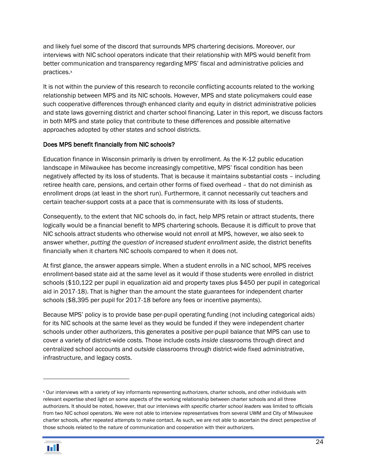and likely fuel some of the discord that surrounds MPS chartering decisions. Moreover, our interviews with NIC school operators indicate that their relationship with MPS would benefit from better communication and transparency regarding MPS' fiscal and administrative policies and practices.<sup>[x](#page-26-0)</sup>

It is not within the purview of this research to reconcile conflicting accounts related to the working relationship between MPS and its NIC schools. However, MPS and state policymakers could ease such cooperative differences through enhanced clarity and equity in district administrative policies and state laws governing district and charter school financing. Later in this report, we discuss factors in both MPS and state policy that contribute to these differences and possible alternative approaches adopted by other states and school districts.

#### Does MPS benefit financially from NIC schools?

Education finance in Wisconsin primarily is driven by enrollment. As the K-12 public education landscape in Milwaukee has become increasingly competitive, MPS' fiscal condition has been negatively affected by its loss of students. That is because it maintains substantial costs – including retiree health care, pensions, and certain other forms of fixed overhead – that do not diminish as enrollment drops (at least in the short run). Furthermore, it cannot necessarily cut teachers and certain teacher-support costs at a pace that is commensurate with its loss of students.

Consequently, to the extent that NIC schools do, in fact, help MPS retain or attract students, there logically would be a financial benefit to MPS chartering schools. Because it is difficult to prove that NIC schools attract students who otherwise would not enroll at MPS, however, we also seek to answer whether, *putting the question of increased student enrollment aside,* the district benefits financially when it charters NIC schools compared to when it does not.

At first glance, the answer appears simple. When a student enrolls in a NIC school, MPS receives enrollment-based state aid at the same level as it would if those students were enrolled in district schools (\$10,122 per pupil in equalization aid and property taxes plus \$450 per pupil in categorical aid in 2017-18). That is higher than the amount the state guarantees for independent charter schools (\$8,395 per pupil for 2017-18 before any fees or incentive payments).

Because MPS' policy is to provide base per-pupil operating funding (not including categorical aids) for its NIC schools at the same level as they would be funded if they were independent charter schools under other authorizers, this generates a positive per-pupil balance that MPS can use to cover a variety of district-wide costs. Those include costs *inside* classrooms through direct and centralized school accounts and *outside* classrooms through district-wide fixed administrative, infrastructure, and legacy costs.

<span id="page-25-0"></span><sup>x</sup> Our interviews with a variety of key informants representing authorizers, charter schools, and other individuals with relevant expertise shed light on some aspects of the working relationship between charter schools and all three authorizers. It should be noted, however, that our interviews *with specific charter school leaders* was limited to officials from two NIC school operators. We were not able to interview representatives from several UWM and City of Milwaukee charter schools, after repeated attempts to make contact. As such, we are not able to ascertain the direct perspective of those schools related to the nature of communication and cooperation with their authorizers.

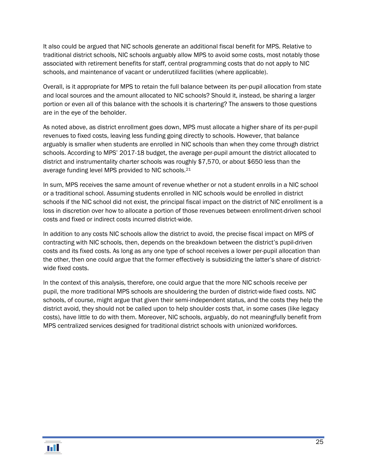It also could be argued that NIC schools generate an additional fiscal benefit for MPS. Relative to traditional district schools, NIC schools arguably allow MPS to avoid some costs, most notably those associated with retirement benefits for staff, central programming costs that do not apply to NIC schools, and maintenance of vacant or underutilized facilities (where applicable).

Overall, is it appropriate for MPS to retain the full balance between its per-pupil allocation from state and local sources and the amount allocated to NIC schools? Should it, instead, be sharing a larger portion or even all of this balance with the schools it is chartering? The answers to those questions are in the eye of the beholder.

As noted above, as district enrollment goes down, MPS must allocate a higher share of its per-pupil revenues to fixed costs, leaving less funding going directly to schools. However, that balance arguably is smaller when students are enrolled in NIC schools than when they come through district schools. According to MPS' 2017-18 budget, the average per-pupil amount the district allocated to district and instrumentality charter schools was roughly \$7,570, or about \$650 less than the average funding level MPS provided to NIC schools.[21](#page-44-11)

In sum, MPS receives the same amount of revenue whether or not a student enrolls in a NIC school or a traditional school. Assuming students enrolled in NIC schools would be enrolled in district schools if the NIC school did not exist, the principal fiscal impact on the district of NIC enrollment is a loss in discretion over how to allocate a portion of those revenues between enrollment-driven school costs and fixed or indirect costs incurred district-wide.

In addition to any costs NIC schools allow the district to avoid, the precise fiscal impact on MPS of contracting with NIC schools, then, depends on the breakdown between the district's pupil-driven costs and its fixed costs. As long as any one type of school receives a lower per-pupil allocation than the other, then one could argue that the former effectively is subsidizing the latter's share of districtwide fixed costs.

<span id="page-26-0"></span>In the context of this analysis, therefore, one could argue that the more NIC schools receive per pupil, the more traditional MPS schools are shouldering the burden of district-wide fixed costs. NIC schools, of course, might argue that given their semi-independent status, and the costs they help the district avoid, they should not be called upon to help shoulder costs that, in some cases (like legacy costs), have little to do with them. Moreover, NIC schools, arguably, do not meaningfully benefit from MPS centralized services designed for traditional district schools with unionized workforces.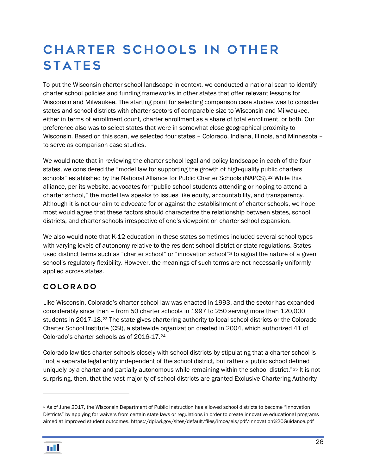# <span id="page-27-0"></span>Charter schools in other **STATES**

To put the Wisconsin charter school landscape in context, we conducted a national scan to identify charter school policies and funding frameworks in other states that offer relevant lessons for Wisconsin and Milwaukee. The starting point for selecting comparison case studies was to consider states and school districts with charter sectors of comparable size to Wisconsin and Milwaukee, either in terms of enrollment count, charter enrollment as a share of total enrollment, or both. Our preference also was to select states that were in somewhat close geographical proximity to Wisconsin. Based on this scan, we selected four states – Colorado, Indiana, Illinois, and Minnesota – to serve as comparison case studies.

We would note that in reviewing the charter school legal and policy landscape in each of the four states, we considered the "model law for supporting the growth of high-quality public charters schools" established by the National Alliance for Public Charter Schools (NAPCS).<sup>[22](#page-44-12)</sup> While this alliance, per its website, advocates for "public school students attending or hoping to attend a charter school," the model law speaks to issues like equity, accountability, and transparency. Although it is not our aim to advocate for or against the establishment of charter schools, we hope most would agree that these factors should characterize the relationship between states, school districts, and charter schools irrespective of one's viewpoint on charter school expansion.

We also would note that K-12 education in these states sometimes included several school types with varying levels of autonomy relative to the resident school district or state regulations. States used distinct terms such as "charter school" or "innovation school"[xi](#page-28-0) to signal the nature of a given school's regulatory flexibility. However, the meanings of such terms are not necessarily uniformly applied across states.

# <span id="page-27-1"></span>Colorado

Like Wisconsin, Colorado's charter school law was enacted in 1993, and the sector has expanded considerably since then – from 50 charter schools in 1997 to 250 serving more than 120,000 students in 2017-18.[23](#page-44-13) The state gives chartering authority to local school districts or the Colorado Charter School Institute (CSI), a statewide organization created in 2004, which authorized 41 of Colorado's charter schools as of 2016-17.[24](#page-44-14)

Colorado law ties charter schools closely with school districts by stipulating that a charter school is "not a separate legal entity independent of the school district, but rather a public school defined uniquely by a charter and partially autonomous while remaining within the school district."<sup>[25](#page-44-15)</sup> It is not surprising, then, that the vast majority of school districts are granted Exclusive Chartering Authority

xi As of June 2017, the Wisconsin Department of Public Instruction has allowed school districts to become "Innovation Districts" by applying for waivers from certain state laws or regulations in order to create innovative educational programs aimed at improved student outcomes. https://dpi.wi.gov/sites/default/files/imce/eis/pdf/Innovation%20Guidance.pdf



 $\overline{a}$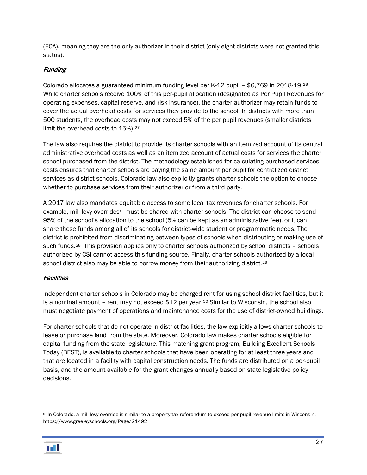(ECA), meaning they are the only authorizer in their district (only eight districts were not granted this status).

#### Funding

Colorado allocates a guaranteed minimum funding level per K-12 pupil – \$6,769 in 2018-19.[26](#page-44-16) While charter schools receive 100% of this per-pupil allocation (designated as Per Pupil Revenues for operating expenses, capital reserve, and risk insurance), the charter authorizer may retain funds to cover the actual overhead costs for services they provide to the school. In districts with more than 500 students, the overhead costs may not exceed 5% of the per pupil revenues (smaller districts limit the overhead costs to 15%).<sup>[27](#page-44-17)</sup>

The law also requires the district to provide its charter schools with an itemized account of its central administrative overhead costs as well as an itemized account of actual costs for services the charter school purchased from the district. The methodology established for calculating purchased services costs ensures that charter schools are paying the same amount per pupil for centralized district services as district schools. Colorado law also explicitly grants charter schools the option to choose whether to purchase services from their authorizer or from a third party.

A 2017 law also mandates equitable access to some local tax revenues for charter schools. For example, mill levy overrides<sup>[xii](#page-29-1)</sup> must be shared with charter schools. The district can choose to send 95% of the school's allocation to the school (5% can be kept as an administrative fee), or it can share these funds among all of its schools for district-wide student or programmatic needs. The district is prohibited from discriminating between types of schools when distributing or making use of such funds.<sup>28</sup> This provision applies only to charter schools authorized by school districts – schools authorized by CSI cannot access this funding source. Finally, charter schools authorized by a local school district also may be able to borrow money from their authorizing district.<sup>[29](#page-44-19)</sup>

#### **Facilities**

Independent charter schools in Colorado may be charged rent for using school district facilities, but it is a nominal amount – rent may not exceed  $$12$  per year.<sup>[30](#page-44-20)</sup> Similar to Wisconsin, the school also must negotiate payment of operations and maintenance costs for the use of district-owned buildings.

For charter schools that do not operate in district facilities, the law explicitly allows charter schools to lease or purchase land from the state. Moreover, Colorado law makes charter schools eligible for capital funding from the state legislature. This matching grant program, Building Excellent Schools Today (BEST), is available to charter schools that have been operating for at least three years and that are located in a facility with capital construction needs. The funds are distributed on a per-pupil basis, and the amount available for the grant changes annually based on state legislative policy decisions.

<span id="page-28-0"></span>xii In Colorado, a mill levy override is similar to a property tax referendum to exceed per pupil revenue limits in Wisconsin. https://www.greeleyschools.org/Page/21492



 $\overline{a}$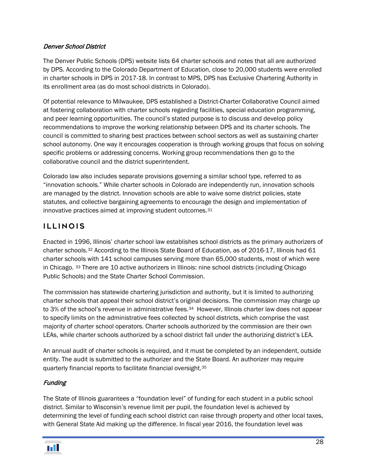#### Denver School District

The Denver Public Schools (DPS) website lists 64 charter schools and notes that all are authorized by DPS. According to the Colorado Department of Education, close to 20,000 students were enrolled in charter schools in DPS in 2017-18. In contrast to MPS, DPS has Exclusive Chartering Authority in its enrollment area (as do most school districts in Colorado).

Of potential relevance to Milwaukee, DPS established a District-Charter Collaborative Council aimed at fostering collaboration with charter schools regarding facilities, special education programming, and peer learning opportunities. The council's stated purpose is to discuss and develop policy recommendations to improve the working relationship between DPS and its charter schools. The council is committed to sharing best practices between school sectors as well as sustaining charter school autonomy. One way it encourages cooperation is through working groups that focus on solving specific problems or addressing concerns. Working group recommendations then go to the collaborative council and the district superintendent.

Colorado law also includes separate provisions governing a similar school type, referred to as "innovation schools." While charter schools in Colorado are independently run, innovation schools are managed by the district. Innovation schools are able to waive some district policies, state statutes, and collective bargaining agreements to encourage the design and implementation of innovative practices aimed at improving student outcomes.[31](#page-44-21)

### <span id="page-29-0"></span>Illinois

Enacted in 1996, Illinois' charter school law establishes school districts as the primary authorizers of charter schools.[32](#page-44-22) According to the Illinois State Board of Education, as of 2016-17, Illinois had 61 charter schools with 141 school campuses serving more than 65,000 students, most of which were in Chicago. [33](#page-44-23) There are 10 active authorizers in Illinois: nine school districts (including Chicago Public Schools) and the State Charter School Commission.

The commission has statewide chartering jurisdiction and authority, but it is limited to authorizing charter schools that appeal their school district's original decisions. The commission may charge up to 3% of the school's revenue in administrative fees.<sup>[34](#page-44-24)</sup> However, Illinois charter law does not appear to specify limits on the administrative fees collected by school districts, which comprise the vast majority of charter school operators. Charter schools authorized by the commission are their own LEAs, while charter schools authorized by a school district fall under the authorizing district's LEA.

An annual audit of charter schools is required, and it must be completed by an independent, outside entity. The audit is submitted to the authorizer and the State Board. An authorizer may require quarterly financial reports to facilitate financial oversight.[35](#page-44-25) 

#### **Funding**

<span id="page-29-1"></span>The State of Illinois guarantees a "foundation level" of funding for each student in a public school district. Similar to Wisconsin's revenue limit per pupil, the foundation level is achieved by determining the level of funding each school district can raise through property and other local taxes, with General State Aid making up the difference. In fiscal year 2016, the foundation level was

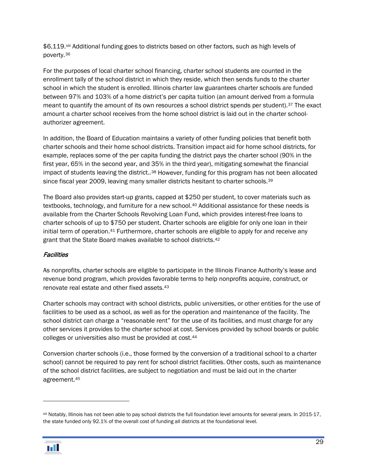\$6,119.[xiii](#page-31-1) Additional funding goes to districts based on other factors, such as high levels of poverty.[36](#page-44-26)

For the purposes of local charter school financing, charter school students are counted in the enrollment tally of the school district in which they reside, which then sends funds to the charter school in which the student is enrolled. Illinois charter law guarantees charter schools are funded between 97% and 103% of a home district's per capita tuition (an amount derived from a formula meant to quantify the amount of its own resources a school district spends per student).[37](#page-44-27) The exact amount a charter school receives from the home school district is laid out in the charter schoolauthorizer agreement.

In addition, the Board of Education maintains a variety of other funding policies that benefit both charter schools and their home school districts. Transition impact aid for home school districts, for example, replaces some of the per capita funding the district pays the charter school (90% in the first year, 65% in the second year, and 35% in the third year), mitigating somewhat the financial impact of students leaving the district..[38](#page-44-28) However, funding for this program has not been allocated since fiscal year 2009, leaving many smaller districts hesitant to charter schools.<sup>[39](#page-44-29)</sup>

The Board also provides start-up grants, capped at \$250 per student, to cover materials such as textbooks, technology, and furniture for a new school.<sup>[40](#page-44-30)</sup> Additional assistance for these needs is available from the Charter Schools Revolving Loan Fund, which provides interest-free loans to charter schools of up to \$750 per student. Charter schools are eligible for only one loan in their initial term of operation.[41](#page-44-31) Furthermore, charter schools are eligible to apply for and receive any grant that the State Board makes available to school districts.[42](#page-44-32)

#### **Facilities**

As nonprofits, charter schools are eligible to participate in the Illinois Finance Authority's lease and revenue bond program, which provides favorable terms to help nonprofits acquire, construct, or renovate real estate and other fixed assets.[43](#page-44-33)

Charter schools may contract with school districts, public universities, or other entities for the use of facilities to be used as a school, as well as for the operation and maintenance of the facility. The school district can charge a "reasonable rent" for the use of its facilities, and must charge for any other services it provides to the charter school at cost. Services provided by school boards or public colleges or universities also must be provided at cost.[44](#page-44-34)

Conversion charter schools (i.e., those formed by the conversion of a traditional school to a charter school) cannot be required to pay rent for school district facilities. Other costs, such as maintenance of the school district facilities, are subject to negotiation and must be laid out in the charter agreement.[45](#page-44-35)

xiii Notably, Illinois has not been able to pay school districts the full foundation level amounts for several years. In 2015-17, the state funded only 92.1% of the overall cost of funding all districts at the foundational level.



 $\overline{a}$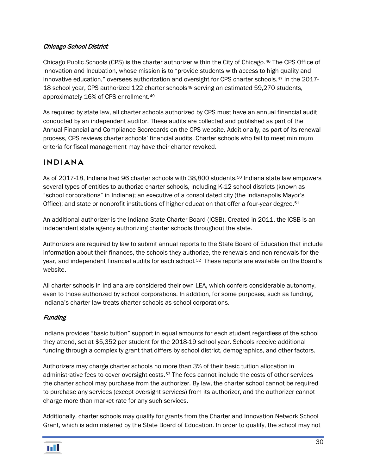#### Chicago School District

Chicago Public Schools (CPS) is the charter authorizer within the City of Chicago.[46](#page-44-36) The CPS Office of Innovation and Incubation, whose mission is to "provide students with access to high quality and innovative education," oversees authorization and oversight for CPS charter schools.[47](#page-44-6) In the 2017- 18 school year, CPS authorized 122 charter schools<sup>[48](#page-44-37)</sup> serving an estimated 59,270 students, approximately 16% of CPS enrollment.[49](#page-44-38)

As required by state law, all charter schools authorized by CPS must have an annual financial audit conducted by an independent auditor. These audits are collected and published as part of the Annual Financial and Compliance Scorecards on the CPS website. Additionally, as part of its renewal process, CPS reviews charter schools' financial audits. Charter schools who fail to meet minimum criteria for fiscal management may have their charter revoked.

### <span id="page-31-0"></span>Indiana

As of 2017-18, Indiana had 96 charter schools with 38,800 students.<sup>[50](#page-44-39)</sup> Indiana state law empowers several types of entities to authorize charter schools, including K-12 school districts (known as "school corporations" in Indiana); an executive of a consolidated city (the Indianapolis Mayor's Office); and state or nonprofit institutions of higher education that offer a four-year degree.<sup>51</sup>

An additional authorizer is the Indiana State Charter Board (ICSB). Created in 2011, the ICSB is an independent state agency authorizing charter schools throughout the state.

Authorizers are required by law to submit annual reports to the State Board of Education that include information about their finances, the schools they authorize, the renewals and non-renewals for the year, and independent financial audits for each school.[52](#page-44-41) These reports are available on the Board's website.

All charter schools in Indiana are considered their own LEA, which confers considerable autonomy, even to those authorized by school corporations. In addition, for some purposes, such as funding, Indiana's charter law treats charter schools as school corporations.

#### **Funding**

Indiana provides "basic tuition" support in equal amounts for each student regardless of the school they attend, set at \$5,352 per student for the 2018-19 school year. Schools receive additional funding through a complexity grant that differs by school district, demographics, and other factors.

Authorizers may charge charter schools no more than 3% of their basic tuition allocation in administrative fees to cover oversight costs.[53](#page-44-42) The fees cannot include the costs of other services the charter school may purchase from the authorizer. By law, the charter school cannot be required to purchase any services (except oversight services) from its authorizer, and the authorizer cannot charge more than market rate for any such services.

<span id="page-31-1"></span>Additionally, charter schools may qualify for grants from the Charter and Innovation Network School Grant, which is administered by the State Board of Education. In order to qualify, the school may not

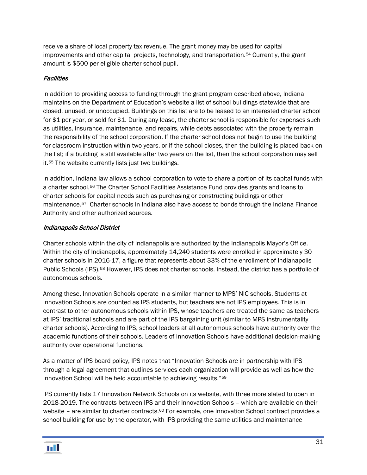receive a share of local property tax revenue. The grant money may be used for capital improvements and other capital projects, technology, and transportation.[54](#page-44-43) Currently, the grant amount is \$500 per eligible charter school pupil.

#### **Facilities**

In addition to providing access to funding through the grant program described above, Indiana maintains on the Department of Education's website a list of school buildings statewide that are closed, unused, or unoccupied. Buildings on this list are to be leased to an interested charter school for \$1 per year, or sold for \$1. During any lease, the charter school is responsible for expenses such as utilities, insurance, maintenance, and repairs, while debts associated with the property remain the responsibility of the school corporation. If the charter school does not begin to use the building for classroom instruction within two years, or if the school closes, then the building is placed back on the list; if a building is still available after two years on the list, then the school corporation may sell it.[55](#page-44-44) The website currently lists just two buildings.

In addition, Indiana law allows a school corporation to vote to share a portion of its capital funds with a charter school.[56](#page-44-45) The Charter School Facilities Assistance Fund provides grants and loans to charter schools for capital needs such as purchasing or constructing buildings or other maintenance.[57](#page-44-46) Charter schools in Indiana also have access to bonds through the Indiana Finance Authority and other authorized sources.

#### Indianapolis School District

Charter schools within the city of Indianapolis are authorized by the Indianapolis Mayor's Office. Within the city of Indianapolis, approximately 14,240 students were enrolled in approximately 30 charter schools in 2016-17, a figure that represents about 33% of the enrollment of Indianapolis Public Schools (IPS).[58](#page-44-47) However, IPS does not charter schools. Instead, the district has a portfolio of autonomous schools.

Among these, Innovation Schools operate in a similar manner to MPS' NIC schools. Students at Innovation Schools are counted as IPS students, but teachers are not IPS employees. This is in contrast to other autonomous schools within IPS, whose teachers are treated the same as teachers at IPS' traditional schools and are part of the IPS bargaining unit (similar to MPS instrumentality charter schools). According to IPS, school leaders at all autonomous schools have authority over the academic functions of their schools. Leaders of Innovation Schools have additional decision-making authority over operational functions.

As a matter of IPS board policy, IPS notes that "Innovation Schools are in partnership with IPS through a legal agreement that outlines services each organization will provide as well as how the Innovation School will be held accountable to achieving results."[59](#page-44-33)

IPS currently lists 17 Innovation Network Schools on its website, with three more slated to open in 2018-2019. The contracts between IPS and their Innovation Schools – which are available on their website – are similar to charter contracts.<sup>[60](#page-44-48)</sup> For example, one Innovation School contract provides a school building for use by the operator, with IPS providing the same utilities and maintenance

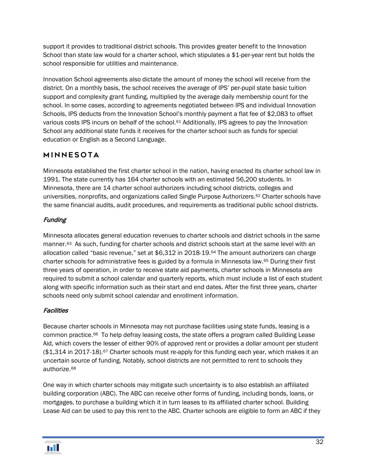support it provides to traditional district schools. This provides greater benefit to the Innovation School than state law would for a charter school, which stipulates a \$1-per-year rent but holds the school responsible for utilities and maintenance.

Innovation School agreements also dictate the amount of money the school will receive from the district. On a monthly basis, the school receives the average of IPS' per-pupil state basic tuition support and complexity grant funding, multiplied by the average daily membership count for the school. In some cases, according to agreements negotiated between IPS and individual Innovation Schools, IPS deducts from the Innovation School's monthly payment a flat fee of \$2,083 to offset various costs IPS incurs on behalf of the school.[61](#page-44-4) Additionally, IPS agrees to pay the Innovation School any additional state funds it receives for the charter school such as funds for special education or English as a Second Language.

# <span id="page-33-0"></span>Minnesota

Minnesota established the first charter school in the nation, having enacted its charter school law in 1991. The state currently has 164 charter schools with an estimated 56,200 students. In Minnesota, there are 14 charter school authorizers including school districts, colleges and universities, nonprofits, and organizations called Single Purpose Authorizers.<sup>[62](#page-44-49)</sup> Charter schools have the same financial audits, audit procedures, and requirements as traditional public school districts.

### **Funding**

Minnesota allocates general education revenues to charter schools and district schools in the same manner.[63](#page-44-6) As such, funding for charter schools and district schools start at the same level with an allocation called "basic revenue," set at \$6,312 in 2018-19.[64](#page-44-50) The amount authorizers can charge charter schools for administrative fees is guided by a formula in Minnesota law.[65](#page-44-51) During their first three years of operation, in order to receive state aid payments, charter schools in Minnesota are required to submit a school calendar and quarterly reports, which must include a list of each student along with specific information such as their start and end dates. After the first three years, charter schools need only submit school calendar and enrollment information.

#### **Facilities**

Because charter schools in Minnesota may not purchase facilities using state funds, leasing is a common practice.[66](#page-44-52) To help defray leasing costs, the state offers a program called Building Lease Aid, which covers the lesser of either 90% of approved rent or provides a dollar amount per student (\$1,314 in 2017-18).<sup>[67](#page-44-53)</sup> Charter schools must re-apply for this funding each year, which makes it an uncertain source of funding. Notably, school districts are not permitted to rent to schools they authorize.[68](#page-44-54)

One way in which charter schools may mitigate such uncertainty is to also establish an affiliated building corporation (ABC). The ABC can receive other forms of funding, including bonds, loans, or mortgages, to purchase a building which it in turn leases to its affiliated charter school. Building Lease Aid can be used to pay this rent to the ABC. Charter schools are eligible to form an ABC if they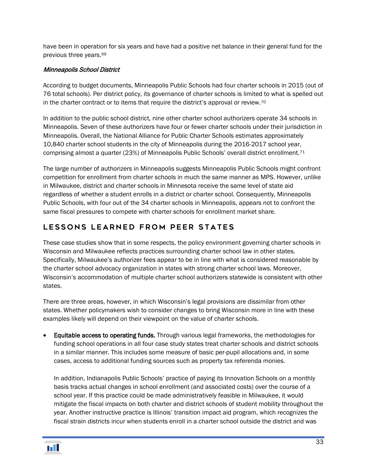have been in operation for six years and have had a positive net balance in their general fund for the previous three years[.69](#page-44-55)

#### Minneapolis School District

According to budget documents, Minneapolis Public Schools had four charter schools in 2015 (out of 76 total schools). Per district policy, its governance of charter schools is limited to what is spelled out in the charter contract or to items that require the district's approval or review.[70](#page-44-56)

In addition to the public school district, nine other charter school authorizers operate 34 schools in Minneapolis. Seven of these authorizers have four or fewer charter schools under their jurisdiction in Minneapolis. Overall, the National Alliance for Public Charter Schools estimates approximately 10,840 charter school students in the city of Minneapolis during the 2016-2017 school year, comprising almost a quarter (23%) of Minneapolis Public Schools' overall district enrollment.[71](#page-44-57)

The large number of authorizers in Minneapolis suggests Minneapolis Public Schools might confront competition for enrollment from charter schools in much the same manner as MPS. However, unlike in Milwaukee, district and charter schools in Minnesota receive the same level of state aid regardless of whether a student enrolls in a district or charter school. Consequently, Minneapolis Public Schools, with four out of the 34 charter schools in Minneapolis, appears not to confront the same fiscal pressures to compete with charter schools for enrollment market share.

# <span id="page-34-0"></span>LESSONS LEARNED FROM PEER STATES

These case studies show that in some respects, the policy environment governing charter schools in Wisconsin and Milwaukee reflects practices surrounding charter school law in other states. Specifically, Milwaukee's authorizer fees appear to be in line with what is considered reasonable by the charter school advocacy organization in states with strong charter school laws. Moreover, Wisconsin's accommodation of multiple charter school authorizers statewide is consistent with other states.

There are three areas, however, in which Wisconsin's legal provisions are dissimilar from other states. Whether policymakers wish to consider changes to bring Wisconsin more in line with these examples likely will depend on their viewpoint on the value of charter schools.

**Equitable access to operating funds.** Through various legal frameworks, the methodologies for funding school operations in all four case study states treat charter schools and district schools in a similar manner. This includes some measure of basic per-pupil allocations and, in some cases, access to additional funding sources such as property tax referenda monies.

In addition, Indianapolis Public Schools' practice of paying its Innovation Schools on a monthly basis tracks actual changes in school enrollment (and associated costs) over the course of a school year. If this practice could be made administratively feasible in Milwaukee, it would mitigate the fiscal impacts on both charter and district schools of student mobility throughout the year. Another instructive practice is Illinois' transition impact aid program, which recognizes the fiscal strain districts incur when students enroll in a charter school outside the district and was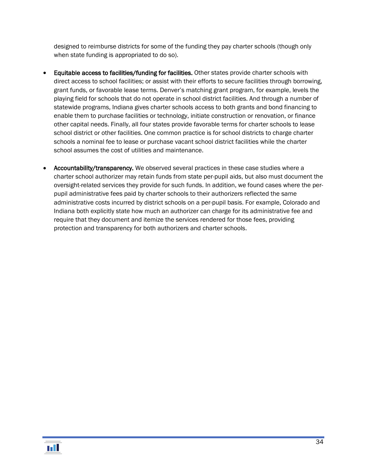designed to reimburse districts for some of the funding they pay charter schools (though only when state funding is appropriated to do so).

- Equitable access to facilities/funding for facilities. Other states provide charter schools with direct access to school facilities; or assist with their efforts to secure facilities through borrowing, grant funds, or favorable lease terms. Denver's matching grant program, for example, levels the playing field for schools that do not operate in school district facilities. And through a number of statewide programs, Indiana gives charter schools access to both grants and bond financing to enable them to purchase facilities or technology, initiate construction or renovation, or finance other capital needs. Finally, all four states provide favorable terms for charter schools to lease school district or other facilities. One common practice is for school districts to charge charter schools a nominal fee to lease or purchase vacant school district facilities while the charter school assumes the cost of utilities and maintenance.
- Accountability/transparency. We observed several practices in these case studies where a charter school authorizer may retain funds from state per-pupil aids, but also must document the oversight-related services they provide for such funds. In addition, we found cases where the perpupil administrative fees paid by charter schools to their authorizers reflected the same administrative costs incurred by district schools on a per-pupil basis. For example, Colorado and Indiana both explicitly state how much an authorizer can charge for its administrative fee and require that they document and itemize the services rendered for those fees, providing protection and transparency for both authorizers and charter schools.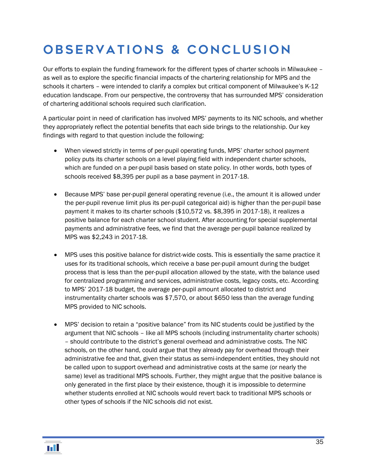# <span id="page-36-0"></span>Observations & Conclusion

Our efforts to explain the funding framework for the different types of charter schools in Milwaukee – as well as to explore the specific financial impacts of the chartering relationship for MPS and the schools it charters – were intended to clarify a complex but critical component of Milwaukee's K-12 education landscape. From our perspective, the controversy that has surrounded MPS' consideration of chartering additional schools required such clarification.

A particular point in need of clarification has involved MPS' payments to its NIC schools, and whether they appropriately reflect the potential benefits that each side brings to the relationship. Our key findings with regard to that question include the following:

- When viewed strictly in terms of per-pupil operating funds, MPS' charter school payment policy puts its charter schools on a level playing field with independent charter schools, which are funded on a per-pupil basis based on state policy. In other words, both types of schools received \$8,395 per pupil as a base payment in 2017-18.
- Because MPS' base per-pupil general operating revenue (i.e., the amount it is allowed under the per-pupil revenue limit plus its per-pupil categorical aid) is higher than the per-pupil base payment it makes to its charter schools (\$10,572 vs. \$8,395 in 2017-18), it realizes a positive balance for each charter school student. After accounting for special supplemental payments and administrative fees, we find that the average per-pupil balance realized by MPS was \$2,243 in 2017-18.
- MPS uses this positive balance for district-wide costs. This is essentially the same practice it uses for its traditional schools, which receive a base per-pupil amount during the budget process that is less than the per-pupil allocation allowed by the state, with the balance used for centralized programming and services, administrative costs, legacy costs, etc. According to MPS' 2017-18 budget, the average per-pupil amount allocated to district and instrumentality charter schools was \$7,570, or about \$650 less than the average funding MPS provided to NIC schools.
- MPS' decision to retain a "positive balance" from its NIC students could be justified by the argument that NIC schools – like all MPS schools (including instrumentality charter schools) – should contribute to the district's general overhead and administrative costs. The NIC schools, on the other hand, could argue that they already pay for overhead through their administrative fee and that, given their status as semi-independent entities, they should not be called upon to support overhead and administrative costs at the same (or nearly the same) level as traditional MPS schools. Further, they might argue that the positive balance is only generated in the first place by their existence, though it is impossible to determine whether students enrolled at NIC schools would revert back to traditional MPS schools or other types of schools if the NIC schools did not exist.

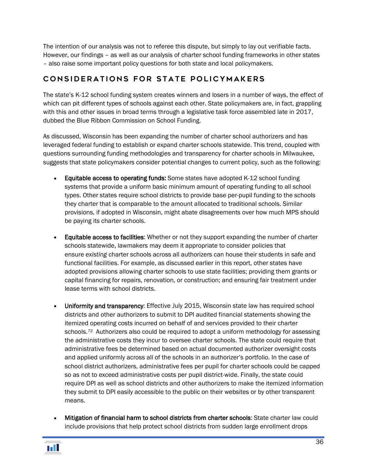The intention of our analysis was not to referee this dispute, but simply to lay out verifiable facts. However, our findings – as well as our analysis of charter school funding frameworks in other states – also raise some important policy questions for both state and local policymakers.

# <span id="page-37-0"></span>Considerations for state policymakers

The state's K-12 school funding system creates winners and losers in a number of ways, the effect of which can pit different types of schools against each other. State policymakers are, in fact, grappling with this and other issues in broad terms through a legislative task force assembled late in 2017, dubbed the Blue Ribbon Commission on School Funding.

As discussed, Wisconsin has been expanding the number of charter school authorizers and has leveraged federal funding to establish or expand charter schools statewide. This trend, coupled with questions surrounding funding methodologies and transparency for charter schools in Milwaukee, suggests that state policymakers consider potential changes to current policy, such as the following:

- Equitable access to operating funds: Some states have adopted K-12 school funding systems that provide a uniform basic minimum amount of operating funding to all school types. Other states require school districts to provide base per-pupil funding to the schools they charter that is comparable to the amount allocated to traditional schools. Similar provisions, if adopted in Wisconsin, might abate disagreements over how much MPS should be paying its charter schools.
- Equitable access to facilities: Whether or not they support expanding the number of charter schools statewide, lawmakers may deem it appropriate to consider policies that ensure *existing* charter schools across all authorizers can house their students in safe and functional facilities. For example, as discussed earlier in this report, other states have adopted provisions allowing charter schools to use state facilities; providing them grants or capital financing for repairs, renovation, or construction; and ensuring fair treatment under lease terms with school districts.
- Uniformity and transparency: Effective July 2015, Wisconsin state law has required school districts and other authorizers to submit to DPI audited financial statements showing the itemized operating costs incurred on behalf of and services provided to their charter schools.<sup>72</sup> Authorizers also could be required to adopt a uniform methodology for assessing the administrative costs they incur to oversee charter schools. The state could require that administrative fees be determined based on actual documented authorizer oversight costs and applied uniformly across all of the schools in an authorizer's portfolio. In the case of school district authorizers, administrative fees per pupil for charter schools could be capped so as not to exceed administrative costs per pupil district-wide. Finally, the state could require DPI as well as school districts and other authorizers to make the itemized information they submit to DPI easily accessible to the public on their websites or by other transparent means.
- Mitigation of financial harm to school districts from charter schools: State charter law could include provisions that help protect school districts from sudden large enrollment drops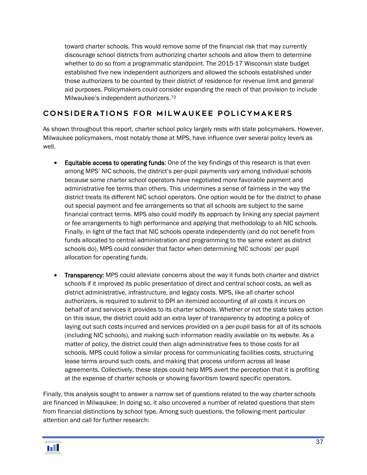toward charter schools. This would remove some of the financial risk that may currently discourage school districts from authorizing charter schools and allow them to determine whether to do so from a programmatic standpoint. The 2015-17 Wisconsin state budget established five new independent authorizers and allowed the schools established under those authorizers to be counted by their district of residence for revenue limit and general aid purposes. Policymakers could consider expanding the reach of that provision to include Milwaukee's independent authorizers.[73](#page-44-59)

# <span id="page-38-0"></span>CONSIDERATIONS FOR MILWAUKEE POLICYMAKERS

As shown throughout this report, charter school policy largely rests with state policymakers. However, Milwaukee policymakers, most notably those at MPS, have influence over several policy levers as well.

- Equitable access to operating funds: One of the key findings of this research is that even among MPS' NIC schools, the district's per-pupil payments vary among individual schools because some charter school operators have negotiated more favorable payment and administrative fee terms than others. This undermines a sense of fairness in the way the district treats its different NIC school operators. One option would be for the district to phase out special payment and fee arrangements so that all schools are subject to the same financial contract terms. MPS also could modify its approach by linking any special payment or fee arrangements to high performance and applying that methodology to all NIC schools. Finally, in light of the fact that NIC schools operate independently (and do not benefit from funds allocated to central administration and programming to the same extent as district schools do), MPS could consider that factor when determining NIC schools' per pupil allocation for operating funds.
- Transparency: MPS could alleviate concerns about the way it funds both charter and district schools if it improved its public presentation of direct and central school costs, as well as district administrative, infrastructure, and legacy costs. MPS, like all charter school authorizers, is required to submit to DPI an itemized accounting of all costs it incurs on behalf of and services it provides to its charter schools. Whether or not the state takes action on this issue, the district could add an extra layer of transparency by adopting a policy of laying out such costs incurred and services provided on a per-pupil basis for all of its schools (including NIC schools), and making such information readily available on its website. As a matter of policy, the district could then align administrative fees to those costs for all schools. MPS could follow a similar process for communicating facilities costs, structuring lease terms around such costs, and making that process uniform across all lease agreements. Collectively, these steps could help MPS avert the perception that it is profiting at the expense of charter schools or showing favoritism toward specific operators.

Finally, this analysis sought to answer a narrow set of questions related to the way charter schools are financed in Milwaukee. In doing so, it also uncovered a number of related questions that stem from financial distinctions by school type. Among such questions, the following merit particular attention and call for further research: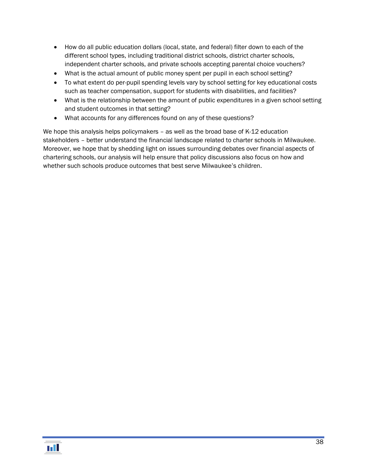- How do all public education dollars (local, state, and federal) filter down to each of the different school types, including traditional district schools, district charter schools, independent charter schools, and private schools accepting parental choice vouchers?
- What is the actual amount of public money spent per pupil in each school setting?
- To what extent do per-pupil spending levels vary by school setting for key educational costs such as teacher compensation, support for students with disabilities, and facilities?
- What is the relationship between the amount of public expenditures in a given school setting and student outcomes in that setting?
- What accounts for any differences found on any of these questions?

We hope this analysis helps policymakers – as well as the broad base of K-12 education stakeholders – better understand the financial landscape related to charter schools in Milwaukee. Moreover, we hope that by shedding light on issues surrounding debates over financial aspects of chartering schools, our analysis will help ensure that policy discussions also focus on how and whether such schools produce outcomes that best serve Milwaukee's children.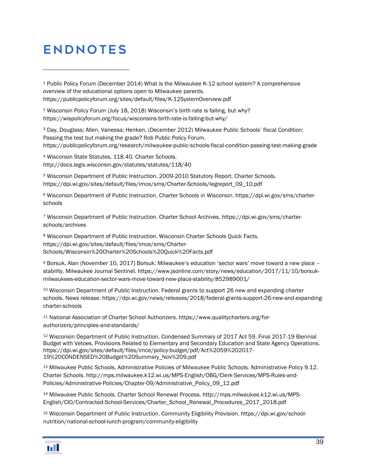# <span id="page-40-0"></span>**ENDNOTES**

 $\overline{a}$ 

<sup>1</sup> Public Policy Forum (December 2014) What is the Milwaukee K-12 school system? A comprehensive overview of the educational options open to Milwaukee parents. https://publicpolicyforum.org/sites/default/files/K-12SystemOverview.pdf

<sup>2</sup> Wisconsin Policy Forum (July 18, 2018) Wisconsin's birth rate is falling, but why? https://wispolicyforum.org/focus/wisconsins-birth-rate-is-falling-but-why/

<sup>3</sup> Day, Douglass; Allen, Vanessa; Henken, (December 2012) Milwaukee Public Schools' fiscal Condition: Passing the test but making the grade? Rob Public Policy Forum. <https://publicpolicyforum.org/research/milwaukee-public-schools-fiscal-condition-passing-test-making-grade>

<sup>4</sup> Wisconsin State Statutes. 118.40. Charter Schools. http://docs.legis.wisconsin.gov/statutes/statutes/118/40

<sup>5</sup> Wisconsin Department of Public Instruction. 2009-2010 Statutory Report. Charter Schools. https://dpi.wi.gov/sites/default/files/imce/sms/Charter-Schools/legreport\_09\_10.pdf

<sup>6</sup> Wisconsin Department of Public Instruction. Charter Schools in Wisconsin. https://dpi.wi.gov/sms/charterschools

<sup>7</sup> Wisconsin Department of Public Instruction. Charter School Archives. https://dpi.wi.gov/sms/charterschools/archives

<sup>8</sup> Wisconsin Department of Public Instruction. Wisconsin Charter Schools Quick Facts. https://dpi.wi.gov/sites/default/files/imce/sms/Charter-Schools/Wisconsin%20Charter%20Schools%20Quick%20Facts.pdf

<sup>9</sup> Borsuk, Alan (November 10, 2017) Borsuk: Milwaukee's education 'sector wars' move toward a new place – stability. Milwaukee Journal Sentinel. https://www.jsonline.com/story/news/education/2017/11/10/borsukmilwaukees-education-sector-wars-move-toward-new-place-stability/852989001/

<sup>10</sup> Wisconsin Department of Public Instruction. Federal grants to support 26 new and expanding charter schools. News release. https://dpi.wi.gov/news/releases/2018/federal-grants-support-26-new-and-expandingcharter-schools

<sup>11</sup> National Association of Charter School Authorizers. https://www.qualitycharters.org/forauthorizers/principles-and-standards/

<sup>12</sup> Wisconsin Department of Public Instruction. Condensed Summary of 2017 Act 59. Final 2017-19 Biennial Budget with Vetoes. Provisions Related to Elementary and Secondary Education and State Agency Operations. https://dpi.wi.gov/sites/default/files/imce/policy-budget/pdf/Act%2059%202017- 19%20CONDENSED%20Budget%20Summary\_Nov%209.pdf

<sup>13</sup> Milwaukee Public Schools. Administrative Policies of Milwaukee Public Schools. Administrative Policy 9.12. Charter Schools. http://mps.milwaukee.k12.wi.us/MPS-English/OBG/Clerk-Services/MPS-Rules-and-Policies/Administrative-Policies/Chapter-09/Administrative\_Policy\_09\_12.pdf

<sup>14</sup> Milwaukee Public Schools. Charter School Renewal Process. http://mps.milwaukee.k12.wi.us/MPS-English/CIO/Contracted-School-Services/Charter\_School\_Renewal\_Procedures\_2017\_2018.pdf

<sup>15</sup> Wisconsin Department of Public Instruction. Community Eligibility Provision. https://dpi.wi.gov/schoolnutrition/national-school-lunch-program/community-eligibility

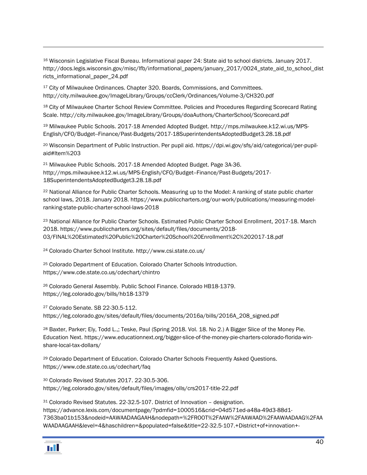<sup>16</sup> Wisconsin Legislative Fiscal Bureau. Informational paper 24: State aid to school districts. January 2017. [http://docs.legis.wisconsin.gov/misc/lfb/informational\\_papers/january\\_2017/0024\\_state\\_aid\\_to\\_school\\_dist](http://docs.legis.wisconsin.gov/misc/lfb/informational_papers/january_2017/0024_state_aid_to_school_districts_informational_paper_24.pdf) [ricts\\_informational\\_paper\\_24.pdf](http://docs.legis.wisconsin.gov/misc/lfb/informational_papers/january_2017/0024_state_aid_to_school_districts_informational_paper_24.pdf)

<span id="page-41-0"></span><sup>17</sup> City of Milwaukee Ordinances. Chapter 320. Boards, Commissions, and Committees. <http://city.milwaukee.gov/ImageLibrary/Groups/ccClerk/Ordinances/Volume-3/CH320.pdf>

<span id="page-41-1"></span><sup>18</sup> City of Milwaukee Charter School Review Committee. Policies and Procedures Regarding Scorecard Rating Scale. http://city.milwaukee.gov/ImageLibrary/Groups/doaAuthors/CharterSchool/Scorecard.pdf

<span id="page-41-2"></span><sup>19</sup> Milwaukee Public Schools. 2017-18 Amended Adopted Budget[. http://mps.milwaukee.k12.wi.us/MPS-](http://mps.milwaukee.k12.wi.us/MPS-English/CFO/Budget--Finance/Past-Budgets/2017-18SuperintendentsAdoptedBudget3.28.18.pdf)[English/CFO/Budget--Finance/Past-Budgets/2017-18SuperintendentsAdoptedBudget3.28.18.pdf](http://mps.milwaukee.k12.wi.us/MPS-English/CFO/Budget--Finance/Past-Budgets/2017-18SuperintendentsAdoptedBudget3.28.18.pdf)

<sup>20</sup> Wisconsin Department of Public Instruction. Per pupil aid. [https://dpi.wi.gov/sfs/aid/categorical/per-pupil](https://dpi.wi.gov/sfs/aid/categorical/per-pupil-aid#Item%203)[aid#Item%203](https://dpi.wi.gov/sfs/aid/categorical/per-pupil-aid#Item%203)

<sup>21</sup> Milwaukee Public Schools. 2017-18 Amended Adopted Budget. Page 3A-36. [http://mps.milwaukee.k12.wi.us/MPS-English/CFO/Budget--Finance/Past-Budgets/2017-](http://mps.milwaukee.k12.wi.us/MPS-English/CFO/Budget--Finance/Past-Budgets/2017-18SuperintendentsAdoptedBudget3.28.18.pdf) [18SuperintendentsAdoptedBudget3.28.18.pdf](http://mps.milwaukee.k12.wi.us/MPS-English/CFO/Budget--Finance/Past-Budgets/2017-18SuperintendentsAdoptedBudget3.28.18.pdf)

<sup>22</sup> National Alliance for Public Charter Schools. Measuring up to the Model: A ranking of state public charter school laws, 2018. January 2018. https://www.publiccharters.org/our-work/publications/measuring-modelranking-state-public-charter-school-laws-2018

<sup>23</sup> National Alliance for Public Charter Schools. Estimated Public Charter School Enrollment, 2017-18. March 2018. https://www.publiccharters.org/sites/default/files/documents/2018- 03/FINAL%20Estimated%20Public%20Charter%20School%20Enrollment%2C%202017-18.pdf

<sup>24</sup> Colorado Charter School Institute. http://www.csi.state.co.us/

<sup>25</sup> Colorado Department of Education. Colorado Charter Schools Introduction. https://www.cde.state.co.us/cdechart/chintro

<sup>26</sup> Colorado General Assembly. Public School Finance. Colorado HB18-1379. https://leg.colorado.gov/bills/hb18-1379

<sup>27</sup> Colorado Senate. SB 22-30.5-112. https://leg.colorado.gov/sites/default/files/documents/2016a/bills/2016A\_208\_signed.pdf

<sup>28</sup> Baxter, Parker; Ely, Todd L.,; Teske, Paul (Spring 2018. Vol. 18. No 2.) A Bigger Slice of the Money Pie. Education Next. https://www.educationnext.org/bigger-slice-of-the-money-pie-charters-colorado-florida-winshare-local-tax-dollars/

<sup>29</sup> Colorado Department of Education. Colorado Charter Schools Frequently Asked Questions. https://www.cde.state.co.us/cdechart/faq

<sup>30</sup> Colorado Revised Statutes 2017. 22-30.5-306. https://leg.colorado.gov/sites/default/files/images/olls/crs2017-title-22.pdf

<sup>31</sup> Colorado Revised Statutes. 22-32.5-107. District of Innovation – designation. https://advance.lexis.com/documentpage/?pdmfid=1000516&crid=04d571ed-a48a-49d3-88d1- 7363ba01b153&nodeid=AAWAADAAGAAH&nodepath=%2FROOT%2FAAW%2FAAWAAD%2FAAWAADAAG%2FAA WAADAAGAAH&level=4&haschildren=&populated=false&title=22-32.5-107.+District+of+innovation+-

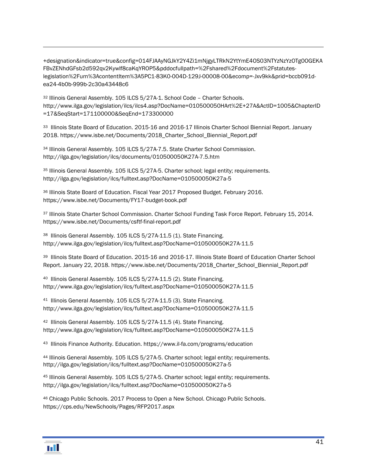+designation&indicator=true&config=014FJAAyNGJkY2Y4Zi1mNjgyLTRkN2YtYmE4OS03NTYzNzYzOTg0OGEKA FBvZENhdGFsb2d592qv2Kywlf8caKqYROP5&pddocfullpath=%2Fshared%2Fdocument%2Fstatuteslegislation%2Furn%3AcontentItem%3A5PC1-83K0-004D-129J-00008-00&ecomp=-Jxv9kk&prid=bccb091dea24-4b0b-999b-2c30a43448c6

<sup>32</sup> Illinois General Assembly. 105 ILCS 5/27A-1. School Code – Charter Schools. http://www.ilga.gov/legislation/ilcs/ilcs4.asp?DocName=010500050HArt%2E+27A&ActID=1005&ChapterID =17&SeqStart=171100000&SeqEnd=173300000

33 Illinois State Board of Education. 2015-16 and 2016-17 Illinois Charter School Biennial Report. January 2018. https://www.isbe.net/Documents/2018\_Charter\_School\_Biennial\_Report.pdf

<span id="page-42-0"></span><sup>34</sup> Illinois General Assembly. 105 ILCS 5/27A-7.5. State Charter School Commission. http://ilga.gov/legislation/ilcs/documents/010500050K27A-7.5.htm

<span id="page-42-1"></span><sup>35</sup> Illinois General Assembly. 105 ILCS 5/27A-5. Charter school; legal entity; requirements. http://ilga.gov/legislation/ilcs/fulltext.asp?DocName=010500050K27a-5

<span id="page-42-2"></span><sup>36</sup> Illinois State Board of Education. Fiscal Year 2017 Proposed Budget. February 2016. https://www.isbe.net/Documents/FY17-budget-book.pdf

37 Illinois State Charter School Commission. Charter School Funding Task Force Report. February 15, 2014. https://www.isbe.net/Documents/csftf-final-report.pdf

<sup>38</sup> Illinois General Assembly. 105 ILCS 5/27A-11.5 (1). State Financing. http://www.ilga.gov/legislation/ilcs/fulltext.asp?DocName=010500050K27A-11.5

39 Illinois State Board of Education. 2015-16 and 2016-17. Illinois State Board of Education Charter School Report. January 22, 2018. https://www.isbe.net/Documents/2018\_Charter\_School\_Biennial\_Report.pdf

<sup>40</sup> Illinois General Assembly. 105 ILCS 5/27A-11.5 (2). State Financing. http://www.ilga.gov/legislation/ilcs/fulltext.asp?DocName=010500050K27A-11.5

<sup>41</sup> Illinois General Assembly. 105 ILCS 5/27A-11.5 (3). State Financing. http://www.ilga.gov/legislation/ilcs/fulltext.asp?DocName=010500050K27A-11.5

<sup>42</sup> Illinois General Assembly. 105 ILCS 5/27A-11.5 (4). State Financing. http://www.ilga.gov/legislation/ilcs/fulltext.asp?DocName=010500050K27A-11.5

43 Illinois Finance Authority. Education. https://www.il-fa.com/programs/education

<sup>44</sup> Illinois General Assembly. 105 ILCS 5/27A-5. Charter school; legal entity; requirements. http://ilga.gov/legislation/ilcs/fulltext.asp?DocName=010500050K27a-5

<sup>45</sup> Illinois General Assembly. 105 ILCS 5/27A-5. Charter school; legal entity; requirements. http://ilga.gov/legislation/ilcs/fulltext.asp?DocName=010500050K27a-5

<sup>46</sup> Chicago Public Schools. 2017 Process to Open a New School. Chicago Public Schools. https://cps.edu/NewSchools/Pages/RFP2017.aspx

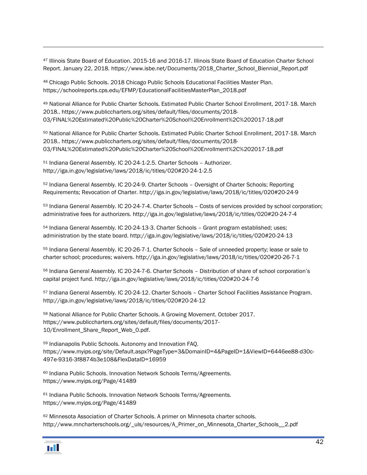<sup>47</sup> Illinois State Board of Education. 2015-16 and 2016-17. Illinois State Board of Education Charter School Report. January 22, 2018. https://www.isbe.net/Documents/2018\_Charter\_School\_Biennial\_Report.pdf

<sup>48</sup> Chicago Public Schools. 2018 Chicago Public Schools Educational Facilities Master Plan. https://schoolreports.cps.edu/EFMP/EducationalFacilitiesMasterPlan\_2018.pdf

<sup>49</sup> National Alliance for Public Charter Schools. Estimated Public Charter School Enrollment, 2017-18. March 2018.. https://www.publiccharters.org/sites/default/files/documents/2018- 03/FINAL%20Estimated%20Public%20Charter%20School%20Enrollment%2C%202017-18.pdf

<sup>50</sup> National Alliance for Public Charter Schools. Estimated Public Charter School Enrollment, 2017-18. March 2018.. https://www.publiccharters.org/sites/default/files/documents/2018- 03/FINAL%20Estimated%20Public%20Charter%20School%20Enrollment%2C%202017-18.pdf

<sup>51</sup> Indiana General Assembly. IC 20-24-1-2.5. Charter Schools – Authorizer. http://iga.in.gov/legislative/laws/2018/ic/titles/020#20-24-1-2.5

<sup>52</sup> Indiana General Assembly. IC 20-24-9. Charter Schools – Oversight of Charter Schools; Reporting Requirements; Revocation of Charter. http://iga.in.gov/legislative/laws/2018/ic/titles/020#20-24-9

<span id="page-43-0"></span><sup>53</sup> Indiana General Assembly. IC 20-24-7-4. Charter Schools – Costs of services provided by school corporation; administrative fees for authorizers. http://iga.in.gov/legislative/laws/2018/ic/titles/020#20-24-7-4

<span id="page-43-1"></span><sup>54</sup> Indiana General Assembly. IC 20-24-13-3. Charter Schools - Grant program established; uses; administration by the state board. http://iga.in.gov/legislative/laws/2018/ic/titles/020#20-24-13

<sup>55</sup> Indiana General Assembly. IC 20-26-7-1. Charter Schools – Sale of unneeded property; lease or sale to charter school; procedures; waivers. http://iga.in.gov/legislative/laws/2018/ic/titles/020#20-26-7-1

<span id="page-43-2"></span><sup>56</sup> Indiana General Assembly. IC 20-24-7-6. Charter Schools – Distribution of share of school corporation's capital project fund. http://iga.in.gov/legislative/laws/2018/ic/titles/020#20-24-7-6

<sup>57</sup> Indiana General Assembly. IC 20-24-12. Charter Schools – Charter School Facilities Assistance Program. http://iga.in.gov/legislative/laws/2018/ic/titles/020#20-24-12

<sup>58</sup> National Alliance for Public Charter Schools. A Growing Movement. October 2017. https://www.publiccharters.org/sites/default/files/documents/2017- 10/Enrollment\_Share\_Report\_Web\_0.pdf.

<sup>59</sup> Indianapolis Public Schools. Autonomy and Innovation FAQ. https://www.myips.org/site/Default.aspx?PageType=3&DomainID=4&PageID=1&ViewID=6446ee88-d30c-497e-9316-3f8874b3e108&FlexDataID=16959

<sup>60</sup> Indiana Public Schools. Innovation Network Schools Terms/Agreements. https://www.myips.org/Page/41489

61 Indiana Public Schools. Innovation Network Schools Terms/Agreements. https://www.myips.org/Page/41489

<sup>62</sup> Minnesota Association of Charter Schools. A primer on Minnesota charter schools. http://www.mncharterschools.org/\_uls/resources/A\_Primer\_on\_Minnesota\_Charter\_Schools\_\_2.pdf

Ы